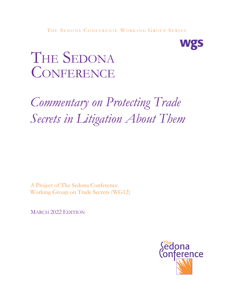

# THE SEDONA CONFERENCE

# *Commentary on Protecting Trade Secrets in Litigation About Them*

A Project of The Sedona Conference Working Group on Trade Secrets (WG12)

MARCH 2022 EDITION

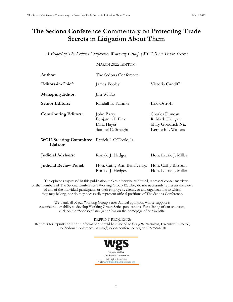## **The Sedona Conference Commentary on Protecting Trade Secrets in Litigation About Them**

*A Project of The Sedona Conference Working Group (WG12) on Trade Secrets*

### MARCH 2022 EDITION

| Author:                                                     | The Sedona Conference                                              |                                                                               |
|-------------------------------------------------------------|--------------------------------------------------------------------|-------------------------------------------------------------------------------|
| <b>Editors-in-Chief:</b>                                    | James Pooley                                                       | Victoria Cundiff                                                              |
| <b>Managing Editor:</b>                                     | Jim W. Ko                                                          |                                                                               |
| <b>Senior Editors:</b>                                      | Randall E. Kahnke                                                  | Eric Ostroff                                                                  |
| <b>Contributing Editors:</b>                                | John Barry<br>Benjamin I. Fink<br>Dina Hayes<br>Samuel C. Straight | Charles Duncan<br>R. Mark Halligan<br>Mary Goodrich Nix<br>Kenneth J. Withers |
| WG12 Steering Committee Patrick J. O'Toole, Jr.<br>Liaison: |                                                                    |                                                                               |
| <b>Judicial Advisors:</b>                                   | Ronald J. Hedges                                                   | Hon. Laurie J. Miller                                                         |
| <b>Judicial Review Panel:</b>                               | Hon. Cathy Ann Bencivengo<br>Ronald J. Hedges                      | Hon. Cathy Bissoon<br>Hon. Laurie J. Miller                                   |

The opinions expressed in this publication, unless otherwise attributed, represent consensus views of the members of The Sedona Conference's Working Group 12. They do not necessarily represent the views of any of the individual participants or their employers, clients, or any organizations to which they may belong, nor do they necessarily represent official positions of The Sedona Conference.

We thank all of our Working Group Series Annual Sponsors, whose support is essential to our ability to develop Working Group Series publications. For a listing of our sponsors, click on the "Sponsors" navigation bar on the homepage of our website.

### REPRINT REQUESTS:

Requests for reprints or reprint information should be directed to Craig W. Weinlein, Executive Director, The Sedona Conference, at info@sedonaconference.org or 602-258-4910.

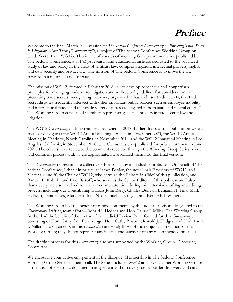## **Preface**

Welcome to the final, March 2022 version of *The Sedona Conference Commentary on Protecting Trade Secrets in Litigation About Them ("Commentary")*, a project of The Sedona Conference Working Group on Trade Secret Law (WG12). This is one of a series of Working Group commentaries published by The Sedona Conference, a  $501(c)(3)$  research and educational institute dedicated to the advanced study of law and policy in the areas of antitrust law, complex litigation, intellectual property rights, and data security and privacy law. The mission of The Sedona Conference is to move the law forward in a reasoned and just way.

The mission of WG12, formed in February 2018, is "to develop consensus and nonpartisan principles for managing trade secret litigation and well-vetted guidelines for consideration in protecting trade secrets, recognizing that every organization has and uses trade secrets, that trade secret disputes frequently intersect with other important public policies such as employee mobility and international trade, and that trade secret disputes are litigated in both state and federal courts." The Working Group consists of members representing all stakeholders in trade secret law and litigation.

The WG12 *Commentary* drafting team was launched in 2018. Earlier drafts of this publication were a focus of dialogue at the WG12 Annual Meeting, Online, in November 2020, the WG12 Annual Meeting in Charlotte, North Carolina, in November 2019, and the WG12 Inaugural Meeting in Los Angeles, California, in November 2018. The *Commentary* was published for public comment in June 2021. The editors have reviewed the comments received through the Working Group Series review and comment process and, where appropriate, incorporated them into this final version.

This *Commentary* represents the collective efforts of many individual contributors. On behalf of The Sedona Conference, I thank in particular James Pooley, the now Chair Emeritus of WG12, and Victoria Cundiff, the Chair of WG12, who serve as the Editors-in-Chief of this publication, and Randall E. Kahnke and Eric Ostroff, who serve as the Senior Editors of this publication. I also thank everyone else involved for their time and attention during this extensive drafting and editing process, including our Contributing Editors John Barry, Charles Duncan, Benjamin I. Fink, Mark Halligan, Dina Hayes, Mary Goodrich Nix, Samuel C. Straight, and Kenneth J. Withers.

The Working Group had the benefit of candid comments by the Judicial Advisors designated to this *Commentary* drafting team effort—Ronald J. Hedges and Hon. Laurie J. Miller. The Working Group further had the benefit of the review of our Judicial Review Panel formed for this *Commentary*, consisting of Hon. Cathy Ann Bencivengo, Hon. Cathy Bissoon, Ronald J. Hedges, and Hon. Laurie J. Miller. The statements in this *Commentary* are solely those of the nonjudicial members of the Working Group; they do not represent any judicial endorsement of any recommended practices.

The drafting process for this *Commentary* also was supported by the Working Group 12 Steering Committee.

We encourage your active engagement in the dialogue. Membership in The Sedona Conference Working Group Series is open to all. The Series includes WG12 and several other Working Groups in the areas of electronic document management and discovery, cross-border discovery and data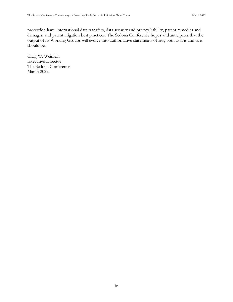protection laws, international data transfers, data security and privacy liability, patent remedies and damages, and patent litigation best practices. The Sedona Conference hopes and anticipates that the output of its Working Groups will evolve into authoritative statements of law, both as it is and as it should be.

Craig W. Weinlein Executive Director The Sedona Conference March 2022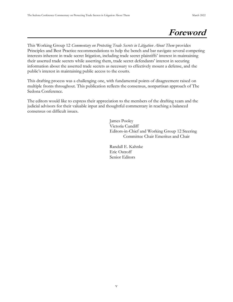## **Foreword**

This Working Group 12 *Commentary on Protecting Trade Secrets in Litigation About Them* provides Principles and Best Practice recommendations to help the bench and bar navigate several competing interests inherent in trade secret litigation, including trade secret plaintiffs' interest in maintaining their asserted trade secrets while asserting them, trade secret defendants' interest in securing information about the asserted trade secrets as necessary to effectively mount a defense, and the public's interest in maintaining public access to the courts.

This drafting process was a challenging one, with fundamental points of disagreement raised on multiple fronts throughout. This publication reflects the consensus, nonpartisan approach of The Sedona Conference.

The editors would like to express their appreciation to the members of the drafting team and the judicial advisors for their valuable input and thoughtful commentary in reaching a balanced consensus on difficult issues.

> James Pooley Victoria Cundiff Editors-in-Chief and Working Group 12 Steering Committee Chair Emeritus and Chair

 Randall E. Kahnke Eric Ostroff Senior Editors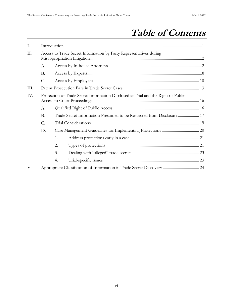## **Table of Contents**

| I.                                                                                       |                                                                                   |                                                                    |  |
|------------------------------------------------------------------------------------------|-----------------------------------------------------------------------------------|--------------------------------------------------------------------|--|
| II.                                                                                      |                                                                                   | Access to Trade Secret Information by Party Representatives during |  |
|                                                                                          | А.                                                                                |                                                                    |  |
|                                                                                          | Β.                                                                                |                                                                    |  |
|                                                                                          | C.                                                                                |                                                                    |  |
| III.                                                                                     |                                                                                   |                                                                    |  |
| IV.                                                                                      | Protection of Trade Secret Information Disclosed at Trial and the Right of Public |                                                                    |  |
| А.<br><b>B.</b><br>Trade Secret Information Presumed to be Restricted from Disclosure 17 |                                                                                   |                                                                    |  |
|                                                                                          |                                                                                   |                                                                    |  |
|                                                                                          | C.                                                                                |                                                                    |  |
| D.                                                                                       |                                                                                   |                                                                    |  |
|                                                                                          |                                                                                   | 1.                                                                 |  |
|                                                                                          |                                                                                   | 2.                                                                 |  |
|                                                                                          |                                                                                   | 3.                                                                 |  |
|                                                                                          |                                                                                   | 4.                                                                 |  |
| V.                                                                                       |                                                                                   |                                                                    |  |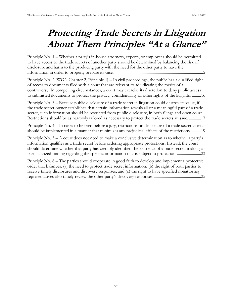## **Protecting Trade Secrets in Litigation About Them Principles "At a Glance"**

Principle No. 1 – Whether a party's in-house attorneys, experts, or employees should be permitted [to have access to the trade secrets of another party should be determined by balancing the risk of](#page-10-2)  [disclosure and harm to the producing party with the need for the other party to have the](#page-10-2)  information in order to properly prepare its case. [........................................................................................2](#page-10-2)

Principle No. 2 [WG2, Chapter 2, Principle 1] – [In civil proceedings, the public has a qualified right](#page-24-2)  [of access to documents filed with a court that are relevant to adjudicating the merits of a](#page-24-2)  [controversy. In compelling circumstances, a court may exercise its discretion](#page-24-2) to deny public access [to submitted documents to protect the privacy, confidentiality or other rights of the litigants.](#page-24-2) .........16

Principle No. 3 – [Because public disclosure of a trade secret in litigation could destroy its value, if](#page-25-1)  [the trade secret owner establishes that certain information reveals all or a meaningful part of a trade](#page-25-1)  [secret, such information should be restricted from public disclosure, in both filings and open court.](#page-25-1)  [Restrictions should be as narrowly tailored as necessary to protect the trade secrets at issue.](#page-25-1) ............17

Principle No. 4 – [In cases to be tried before a jury, restrictions on disclosure of a trade secret at trial](#page-27-1)  [should be implemented in a manner that minimizes any prejudicial effects of the restrictions...........19](#page-27-1)

Principle No.  $5 - A$  court does not need to make a conclusive determination as to whether a party's [information qualifies as a trade secret before ordering appropriate protections. Instead, the court](#page-31-2)  [should determine whether that party has credibly identified the existence of a trade secret, making a](#page-31-2)  [particularized finding regarding the specific information that is subject to protection.........................23](#page-31-2)

Principle No. 6 – [The parties should cooperate in good faith to develop and implement a protective](#page-33-0)  [order that balances: \(a\) the need to protect trade secret information; \(b\) the right of both parties to](#page-33-0)  [receive timely disclosures and discovery responses; and \(c\) the right to have specified nonattorney](#page-33-0)  [representatives also timely review the other party's discovery responses.](#page-33-0)...............................................25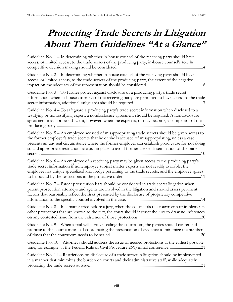## **Protecting Trade Secrets in Litigation About Them Guidelines "At a Glance"**

| Guideline No. 1 – In determining whether in-house counsel of the receiving party should have<br>access, or limited access, to the trade secrets of the producing party, in-house counsel's role in                                                                                                                                                                                                                                  |
|-------------------------------------------------------------------------------------------------------------------------------------------------------------------------------------------------------------------------------------------------------------------------------------------------------------------------------------------------------------------------------------------------------------------------------------|
| Guideline No. 2 - In determining whether in-house counsel of the receiving party should have<br>access, or limited access, to the trade secrets of the producing party, the extent of the negative                                                                                                                                                                                                                                  |
| Guideline No. 3 – To further protect against disclosure of a producing party's trade secret<br>information, when in-house attorneys of the receiving party are permitted to have access to the trade                                                                                                                                                                                                                                |
| Guideline No. 4 - To safeguard a producing party's trade secret information when disclosed to a<br>testifying or nontestifying expert, a nondisclosure agreement should be required. A nondisclosure<br>agreement may not be sufficient, however, when the expert is, or may become, a competitor of the                                                                                                                            |
| Guideline No. 5 - An employee accused of misappropriating trade secrets should be given access to<br>the former employer's trade secrets that he or she is accused of misappropriating, unless a case<br>presents an unusual circumstance where the former employer can establish good cause for not doing<br>so and appropriate restrictions are put in place to avoid further use or dissemination of the trade<br>10<br>secrets. |
| Guideline No. 6 – An employee of a receiving party may be given access to the producing party's<br>trade secret information if nonemployee subject matter experts are not readily available, the<br>employee has unique specialized knowledge pertaining to the trade secrets, and the employee agrees                                                                                                                              |
| Guideline No. 7 – Patent prosecution bars should be considered in trade secret litigation when<br>patent prosecution attorneys and agents are involved in the litigation and should assess pertinent<br>factors that reasonably reflect the risks presented by the disclosure of proprietary competitive<br>14                                                                                                                      |
| Guideline No. 8 - In a matter tried before a jury, when the court seals the courtroom or implements<br>other protections that are known to the jury, the court should instruct the jury to draw no inferences<br>.20                                                                                                                                                                                                                |
| Guideline No. 9 - When a trial will involve sealing the courtroom, the parties should confer and<br>propose to the court a means of coordinating the presentation of evidence to minimize the number                                                                                                                                                                                                                                |
| Guideline No. 10 - Attorneys should address the issue of needed protections at the earliest possible<br>time, for example, at the Federal Rule of Civil Procedure 26(f) initial conference21                                                                                                                                                                                                                                        |
| Guideline No. 11 - Restrictions on disclosure of a trade secret in litigation should be implemented<br>in a manner that minimizes the burden on courts and their administrative staff, while adequately                                                                                                                                                                                                                             |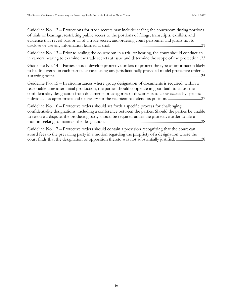| Guideline No. 12 – Protections for trade secrets may include: sealing the courtroom during portions<br>of trials or hearings; restricting public access to the portions of filings, transcripts, exhibits, and<br>evidence that reveal part or all of a trade secret; and ordering court personnel and jurors not to |
|----------------------------------------------------------------------------------------------------------------------------------------------------------------------------------------------------------------------------------------------------------------------------------------------------------------------|
| Guideline No. $13$ – Prior to sealing the courtroom in a trial or hearing, the court should conduct an<br>in camera hearing to examine the trade secrets at issue and determine the scope of the protection. 23                                                                                                      |
| Guideline No. 14 - Parties should develop protective orders to protect the type of information likely<br>to be discovered in each particular case, using any jurisdictionally provided model protective order as                                                                                                     |
| Guideline No. $15 - In$ circumstances where group designation of documents is required, within a<br>reasonable time after initial production, the parties should cooperate in good faith to adjust the<br>confidentiality designation from documents or categories of documents to allow access by specific          |
| Guideline No. 16 – Protective orders should set forth a specific process for challenging<br>confidentiality designations, including a conference between the parties. Should the parties be unable<br>to resolve a dispute, the producing party should be required under the protective order to file a              |
| Guideline No. 17 – Protective orders should contain a provision recognizing that the court can<br>award fees to the prevailing party in a motion regarding the propriety of a designation where the<br>court finds that the designation or opposition thereto was not substantially justified28                      |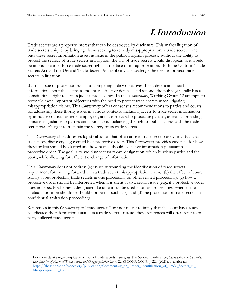## **I.Introduction**

<span id="page-9-0"></span>Trade secrets are a property interest that can be destroyed by disclosure. This makes litigation of trade secrets unique: by bringing claims seeking to remedy misappropriation, a trade secret owner puts these secret information assets at issue in the public litigation process. Without the ability to protect the secrecy of trade secrets in litigation, the law of trade secrets would disappear, as it would be impossible to enforce trade secret rights in the face of misappropriation. Both the Uniform Trade Secrets Act and the Defend Trade Secrets Act explicitly acknowledge the need to protect trade secrets in litigation.

But this issue of protection runs into competing policy objectives: First, defendants need information about the claims to mount an effective defense, and second, the public generally has a constitutional right to access judicial proceedings. In this *Commentary*, Working Group 12 attempts to reconcile these important objectives with the need to protect trade secrets when litigating misappropriation claims. This *Commentary* offers consensus recommendations to parties and courts for addressing these thorny issues in various contexts, including access to trade secret information by in-house counsel, experts, employees, and attorneys who prosecute patents, as well as providing consensus guidance to parties and courts about balancing the right to public access with the trade secret owner's right to maintain the secrecy of its trade secrets.

This *Commentary* also addresses logistical issues that often arise in trade secret cases. In virtually all such cases, discovery is governed by a protective order. This *Commentary* provides guidance for how these orders should be drafted and how parties should exchange information pursuant to a protective order. The goal is to avoid unnecessary overdesignation, which burdens parties and the court, while allowing for efficient exchange of information.

This *Commentary* does not address (a) issues surrounding the identification of trade secrets requirement for moving forward with a trade secret misappropriation claim,<sup>1</sup> (b) the effect of court rulings about protecting trade secrets in one proceeding on other related proceedings, (c) how a protective order should be interpreted when it is silent as to a certain issue (e.g., if a protective order does not specify whether a designated document can be used in other proceedings, whether the "default" position should or should not permit such use), and (d) the protection of trade secrets in confidential arbitration proceedings.

References in this *Commentary* to "trade secrets" are not meant to imply that the court has already adjudicated the information's status as a trade secret. nstead, these references will often refer to one party's alleged trade secrets.

<sup>1</sup> For more details regarding identification of trade secrets issues, *see* The Sedona Conference, *Commentary on the Proper Identification of Asserted Trade Secrets in Misappropriation Cases* 22 SEDONA CONF. J. 223 (2021), available at: [https://thesedonaconference.org/publication/Commentary\\_on\\_Proper\\_Identification\\_of\\_Trade\\_Secrets\\_in\\_](https://thesedonaconference.org/publication/Commentary_on_Proper_Identification_of_Trade_Secrets_in_Misappropriation_Cases) [Misappropriation\\_Cases](https://thesedonaconference.org/publication/Commentary_on_Proper_Identification_of_Trade_Secrets_in_Misappropriation_Cases)*.*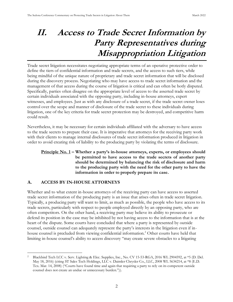## <span id="page-10-0"></span>**II. Access to Trade Secret Information by Party Representatives during Misappropriation Litigation**

Trade secret litigation necessitates negotiating appropriate terms of an operative protective order to define the tiers of confidential information and trade secrets, and the access to such tiers, while being mindful of the unique nature of proprietary and trade secret information that will be disclosed during the discovery process. Negotiating who may have access to trade secret information and the management of that access during the course of litigation is critical and can often be hotly disputed. Specifically, parties often disagree on the appropriate level of access to the asserted trade secret by certain individuals associated with the opposing party, including in-house attorneys, expert witnesses, and employees. Just as with any disclosure of a trade secret, if the trade secret owner loses control over the scope and manner of disclosure of the trade secret to these individuals during litigation, one of the key criteria for trade secret protection may be destroyed, and competitive harm could result.

Nevertheless, it may be necessary for certain individuals affiliated with the adversary to have access to the trade secrets to prepare their case. It is imperative that attorneys for the receiving party work with their clients to manage internal disclosures of trade secret information produced in litigation in order to avoid creating risk of liability to the producing party by violating the terms of disclosure.

## <span id="page-10-2"></span>**Principle No. 1 – Whether a party's in-house attorneys, experts, or employees should be permitted to have access to the trade secrets of another party should be determined by balancing the risk of disclosure and harm to the producing party with the need for the other party to have the information in order to properly prepare its case.**

#### <span id="page-10-1"></span>**ACCESS BY IN-HOUSE ATTORNEYS** A.

Whether and to what extent in-house attorneys of the receiving party can have access to asserted trade secret information of the producing party is an issue that arises often in trade secret litigation. Typically, a producing party will want to limit, as much as possible, the people who have access to its trade secrets, particularly with respect to people employed directly by an opposing party, who are often competitors. On the other hand, a receiving party may believe its ability to prosecute or defend its position in the case may be inhibited by not having access to the information that is at the heart of the dispute. Some courts have concluded that where a party is represented by outside counsel, outside counsel can adequately represent the party's interests in the litigation even if inhouse counsel is precluded from viewing confidential information.<sup>2</sup> Other courts have held that limiting in-house counsel's ability to access discovery "may create severe obstacles to a litigating

<sup>2</sup> Blackbird Tech LCC v. Serv. Lighting & Elec. Supplies, Inc., No. CV 15-53-RGA, 2016 WL 2904592, at \*5 (D. Del. May 18, 2016) (citing ST Sales Tech Holdings, LLC v. Daimler Chrysler Co., LLC, 2008 WL 5634214, at \*8 (E.D. Tex. Mar. 14, 2008) ("Courts have found time and again that requiring a party to rely on its competent outside counsel does not create an undue or unnecessary burden.")).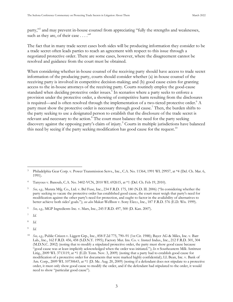party,"<sup>3</sup> and may prevent in-house counsel from appreciating "fully the strengths and weaknesses, such as they are, of their case  $\dots$ ."

The fact that in many trade secret cases both sides will be producing information they consider to be a trade secret often leads parties to reach an agreement with respect to this issue through a negotiated protective order. There are some cases, however, where the disagreement cannot be resolved and guidance from the court must be obtained.

When considering whether in-house counsel of the receiving party should have access to trade secret information of the producing party, courts should consider whether (a) in-house counsel of the receiving party is involved in competitive decision-making; and (b) good cause exists for granting access to the in-house attorneys of the receiving party. Courts routinely employ the good-cause standard when deciding protective order issues. 5 In scenarios where a party seeks to enforce a provision under the protective order, a showing of competitive harm resulting from the disclosures is required—and is often resolved through the implementation of a two-tiered protective order.<sup>6</sup> A party must show the protective order is necessary through good cause.<sup>7</sup> Then, the burden shifts to the party seeking to use a designated person to establish that the disclosure of the trade secret is relevant and necessary to the action.<sup>8</sup> The court must balance the need for the party seeking discovery against the opposing party's claim of injury.<sup>9</sup> Courts in multiple jurisdictions have balanced this need by seeing if the party seeking modification has good cause for the request.<sup>10</sup>

7 *Id.*

8 *Id.*

9 *Id.*

<sup>&</sup>lt;sup>3</sup> Philadelphia Gear Corp. v. Power Transmission Servs., Inc., C.A. No. 11364, 1991 WL 29957, at \*4 (Del. Ch. Mar. 6, 1991).

<sup>4</sup> Tanyous v. Banoub, C.A. No. 3402-VCN, 2010 WL 692615, at \*1 (Del. Ch. Feb 19, 2010).

See, e.g., Murata Mfg. Co., Ltd. v. Bel Fuse, Inc., 234 F.R.D. 175, 180 (N.D. Ill. 2006) ("In considering whether the party seeking to vacate the protective order has established good cause, the court must weigh that party's need for modification against the other party's need for protection, and ought to factor in the availability of alternatives to better achieve both sides' goals."); *see also* Makar-Wellbon v. Sony Elec*s.*, Inc., 187 F.R.D. 576 (E.D. Wis. 1999).

<sup>6</sup> *See, e.g.,* MGP Ingredients Inc. v. Mars, Inc., 245 F.R.D. 497, 500 (D. Kan. 2007).

<sup>10</sup> *See, e.g.,* Public Citizen v. Liggett Grp., Inc., 858 F.2d 775, 790–91 (1st Cir. 1988); Bayer AG & Miles, Inc. v. Barr Lab., Inc., 162 F.R.D. 456, 458 (S.D.N.Y. 1995); Factory Mut. Ins. Co. v. Insteel Indus., Inc., 212 F.R.D. 301, 304 (M.D.N.C. 2002) (noting that to modify a stipulated protective order, the party must show good cause because "good cause was at least implicitly acknowledged when the order was initiated."); *In re* Southeastern Milk Antitrust Litig., 2009 WL 3713119, at \*1 (E.D. Tenn. Nov. 3, 2009) (noting that a party had to establish good cause for modification of a protective order for documents that were marked highly confidential); LL Bean, Inc. v. Bank of Am*.* Corp., 2009 WL 10730643, at \*1 (D. Me. Aug. 20, 2009) (noting if a defendant does not stipulate to a protective order, it must only show good cause to modify the order, and if the defendant had stipulated to the order, it would need to show "particular good cause").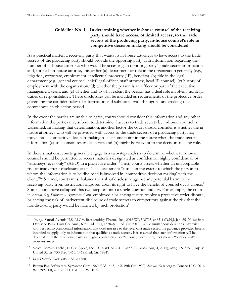## **Guideline No. 1 – In determining whether in-house counsel of the receiving party should have access, or limited access, to the trade secrets of the producing party, in-house counsel's role in competitive decision making should be considered.**

<span id="page-12-0"></span>As a practical matter, a receiving party that wants its in-house attorneys to have access to the trade secrets of the producing party should provide the opposing party with information regarding the number of in-house attorneys who would be accessing an opposing party's trade secret information and, for each in-house attorney, his or her (a) department or role in the organization generally (e.g., litigation, corporate, employment, intellectual property (IP), benefits), (b) title in the legal department (e.g., general counsel, chief legal officer, staff attorney, head IP counsel), (c) history of employment with the organization, (d) whether the person is an officer or part of the executive management team, and (e) whether and to what extent the person has a dual role involving nonlegal duties or responsibilities. These disclosures can be included as requirements of the protective order governing the confidentiality of information and submitted with the signed undertaking that commences an objection period.

In the event the parties are unable to agree, courts should consider this information and any other information the parties may submit to determine if access to trade secrets by in-house counsel is warranted. In making that determination, another factor the court should consider is whether the inhouse attorneys who will be provided with access to the trade secrets of a producing party may move into a competitive decision-making role at some point in the future when the trade secret information (a) still constitutes trade secrets and (b) might be relevant to the decision-making role.

In these situations, courts generally engage in a two-step analysis to determine whether in-house counsel should be permitted to access materials designated as confidential, highly confidential, or "attorneys' eyes only" ( $\triangle$ EO) in a protective order.<sup>11</sup> First, courts assess whether an unacceptable risk of inadvertent disclosure exists. This assessment "turns on the extent to which the person to whom the information is to be disclosed is involved in 'competitive decision making' with the client."<sup>12</sup> Second, courts must balance the risk of disclosure against any potential harm to the receiving party from restrictions imposed upon its right to have the benefit of counsel of its choice.<sup>13</sup> Some courts have collapsed this two-step test into a single-question inquiry. For example, the court in *Brown Bag Software v. Symantec Corp.* employed a balancing test to resolve a protective order dispute, balancing the risk of inadvertent disclosure of trade secrets to competitors against the risk that the nondisclosing party would be harmed by such protection<sup>14</sup>

<sup>11</sup> *See, e.g.,* Sanofi-Aventis U.S. LLC v. Breckenridge Pharm., Inc., 2016 WL 308795, at \*3-4 (D.N.J. Jan. 25, 2016); *In re* Deutsche Bank Trust Co. Ams., 605 F.3d 1373, 1378–80 (Fed. Cir. 2010). While similar considerations may exist with respect to confidential information that does not rise to the level of a trade secret, the guidance provided here is intended to apply only to information that qualifies as trade secrets. It is assumed that such information will be designated by the producing party as "highly confidential" or "attorneys' eyes only," not merely "confidential" in most instances.

<sup>12</sup> Voice Domain Techs., LLC v. Apple, Inc., 2014 WL 5106416, at \*3 (D. Mass. Aug. 4, 2015), *citing* U.S. Steel Corp. v. United States, 730 F.2d 1465, 1468 (Fed. Cir. 1984).

<sup>13</sup> *In re Deutsche Bank*, 605 F.3d at 1380.

<sup>14</sup> Brown Bag Software v. Symantec Corp., 960 F.2d 1465, 1470 (9th Cir. 1992). *See also* Kaseberg v. Conaco LLC, 2016 WL 3997600, at \*12 (S.D. Cal. July 26, 2016).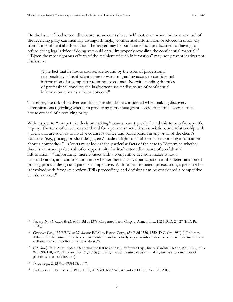On the issue of inadvertent disclosure, some courts have held that, even when in-house counsel of the receiving party can mentally distinguish highly confidential information produced in discovery from nonconfidential information, the lawyer may be put in an ethical predicament of having to refuse giving legal advice if doing so would entail improperly revealing the confidential material.<sup>15</sup> "[ ]ven the most rigorous efforts of the recipient of such information" may not prevent inadvertent disclosure:

[T]he fact that in-house counsel are bound by the rules of professional responsibility is insufficient alone to warrant granting access to confidential information of a competitor to in-house counsel. Notwithstanding the rules of professional conduct, the inadvertent use or disclosure of confidential information remains a major concern.<sup>16</sup>

Therefore, the risk of inadvertent disclosure should be considered when making discovery determinations regarding whether a producing party must grant access to its trade secrets to inhouse counsel of a receiving party.

With respect to "competitive decision making," courts have typically found this to be a fact-specific inquiry. The term often serves shorthand for a person's "activities, association, and relationship with a client that are such as to involve counsel's advice and participation in any or all of the client's decisions (e.g., pricing, product design, etc.) made in light of similar or corresponding information about a competitor."<sup>17</sup> Courts must look at the particular facts of the case to "determine whether there is an unacceptable risk of or opportunity for inadvertent disclosure of confidential information."<sup>18</sup> Importantly, mere contact with a competitive decision-maker is not a disqualification, and consideration into whether there is active participation in the determination of pricing, product design and patents is imperative. With respect to patent prosecution, a person who is involved with *inter partes* review (IPR) proceedings and decisions can be considered a competitive decision maker.<sup>19</sup>

<sup>15</sup> *See, e.g., In re Deutsche Bank*, 605 F.3d at 1378; Carpenter Tech. Corp. v. Armco, Inc., 132 F.R.D. 24, 27 (E.D. Pa. 1990)).

<sup>&</sup>lt;sup>16</sup> *Carpenter Tech.*, 132 F.R.D. at 27. *See also* F.T.C. v. Exxon Corp., 636 F.2d 1336, 1350 (D.C. Cir. 1980) ("[I]t is very difficult for the human mind to compartmentalize and selectively suppress information once learned, no matter how well-intentioned the effort may be to do so.").

<sup>17</sup> *U.S. Steel*, 730 F.2d at 1468 n.3 (applying the test to counsel); *see* Suture Exp., Inc. v. Cardinal Health, 200, LLC, 2013 WL 6909158, at  $*7$  (D. Kan. Dec. 31, 2013) (applying the competitive decision-making analysis to a member of plaintiff's board of directors).

<sup>18</sup> *Suture Exp.,* 2013 WL 6909158, at \*7.

<sup>19</sup> *See* Emerson Elec*.* Co. v. SIPCO, LLC, 2016 WL 6833741, at \*3–4 (N.D. Cal. Nov. 21, 2016).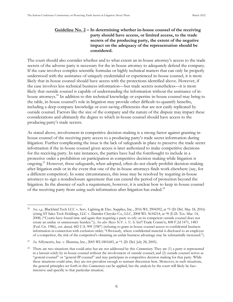## <span id="page-14-0"></span>**Guideline No. 2 – In determining whether in-house counsel of the receiving party should have access, or limited access, to the trade secrets of the producing party, the extent of the negative impact on the adequacy of the representation should be considered.**

The court should also consider whether and to what extent an in-house attorney's access to the trade secrets of the adverse party is necessary for the in-house attorney to adequately defend the company. If the case involves complex scientific formulas or highly technical matters that can only be properly understood with the assistance of uniquely credentialed or experienced in-house counsel, it is more likely that in-house counsel should have access with the protections identified above. However, if the case involves less technical business information—but trade secrets nonetheless—it is more likely that outside counsel is capable of understanding the information without the assistance of inhouse attorneys.<sup>20</sup> In addition to this technical knowledge or expertise in-house counsel may bring to the table, in-house counsel's role in litigation may provide other difficult-to-quantify benefits, including a deep company knowledge or cost-saving efficiencies that are not easily replicated by outside counsel. Factors like the size of the company and the nature of the dispute may impact these considerations and ultimately the degree to which in-house counsel should have access to the producing party's trade secrets.

As stated above, involvement in competitive decision-making is a strong factor against granting inhouse counsel of the receiving party access to a producing party's trade secret information during litigation. Further complicating the issue is the lack of safeguards in place to preserve the trade secret information if the in-house counsel given access is later authorized to make competitive decisions for the receiving party. In rare instances, the parties have had the forethought to include in a protective order a prohibition on participation in competitive decision making while litigation is ongoing.<sup>21</sup> However, these safeguards, when adopted, often do not clearly prohibit decision-making after litigation ends or in the event that one of the in-house attorneys finds work elsewhere (say, for a different competitor). In some circumstances, this issue may be resolved by requiring in-house attorneys to sign a nondisclosure agreement that can extend the period of protection beyond the litigation. In the absence of such a requirement, however, it is unclear how to keep in-house counsel of the receiving party from using such information after litigation has ended.<sup>22</sup>

<sup>20</sup> *See, e.g.,* Blackbird Tech LCC v. Serv. Lighting & Elec. Supplies, Inc., 2016 WL 2904592, at \*5 (D. Del. May 18, 2016) (citing ST Sales Tech Holdings, LLC v. Daimler Chrysler Co., LLC, 2008 WL 5634214, at \*8 (E.D. Tex. Mar. 14, 2008) ("Courts have found time and again that requiring a party to rely on its competent outside counsel does not create an undue or unnecessary burden.")). *See also* Akzo N.V. v. U. S. Int'l Trade Comm'n, 808 F.2d 1471, 1483 (Fed. Cir. 1986), *cert. denied,* 482 U.S. 909 (1987) (refusing to grant in-house counsel access to confidential business information in connection with exclusion order; "Obviously, where confidential material is disclosed to an employee of a competitor, the risk of the competitor's obtaining an unfair business advantage may be substantially increased.").

<sup>21</sup> *See* Affymetrix, Inc. v. Illumina, Inc., 2005 WL1801683, at \*1 (D. Del. July 28, 2005).

<sup>22</sup> There are two situations that could arise but are not addressed by this *Commentary*. They are (1) a party is represented in a lawsuit solely by in-house counsel without the involvement of outside counsel; and (2) outside counsel serves as "general counsel" or "general IP counsel" and may participate in competitive decision making for that party. While these situations could arise, they are not prevalent enough to warrant discussion here. Moreover, in such situations, the general principles set forth in this *Commentary* can be applied, but the analysis by the court will likely be factintensive and specific to that particular situation.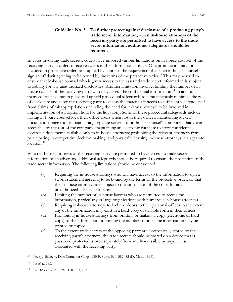## <span id="page-15-0"></span>**Guideline No. 3 – To further protect against disclosure of a producing party's trade secret information, when in-house attorneys of the receiving party are permitted to have access to the trade secret information, additional safeguards should be required.**

In cases involving trade secrets, courts have imposed various limitations on in-house counsel of the receiving party in order to receive access to the information at issue. One prominent limitation included in protective orders and upheld by courts is the requirement that such in-house counsel sign an affidavit agreeing to be bound by the terms of the protective order.<sup>23</sup> This may be used to ensure that in-house counsel who is given access to the asserted trade secret information is subject to liability for any unauthorized disclosures. Another limitation involves limiting the number of inhouse counsel of the receiving party who may access the confidential information.<sup>24</sup> In addition, many courts have put in place and upheld procedural safeguards to simultaneously minimize the risk of disclosure and allow the receiving party to access the materials it needs to sufficiently defend itself from claims of misappropriation (including the need for in-house counsel to be involved in implementation of a litigation hold for the litigation). Some of these procedural safeguards include: having in-house counsel lock their office doors when not in their offices; maintaining locked document storage rooms; maintaining separate servers for in-house counsel's computers that are not accessible by the rest of the company; maintaining an electronic database to store confidential electronic documents available only to in-house attorneys; prohibiting the relevant attorneys from participating in competitive decision making; and physically housing in-house attorneys in a separate location.<sup>25</sup>

When in-house attorneys of the receiving party are permitted to have access to trade secret information of an adversary, additional safeguards should be required to ensure the protection of the trade secret information. The following limitations should be considered:

- (a) Requiring the in-house attorneys who will have access to the information to sign a sworn statement agreeing to be bound by the terms of the protective order, so that the in-house attorneys are subject to the jurisdiction of the court for any unauthorized use or disclosures.
- (b) Limiting the number of in-house lawyers who are permitted to access the information, particularly in large organizations with numerous in-house attorneys.
- (c) Requiring in-house attorneys to lock the doors to their personal offices to the extent any of the information may exist in a hard-copy or tangible form in their offices.
- (d) Prohibiting in-house attorneys from printing or making a copy (electronic or hard copy) of the information or limiting the number of times the information may be printed or copied.
- (e) To the extent trade secrets of the opposing party are electronically stored by the receiving party's attorneys, the trade secrets should be stored on a device that is password protected, stored separately from and inaccessible by anyone else associated with the receiving party.

<sup>23</sup> *See, e.g.,* Bailey v. Dart Container Corp., 980 F. Supp. 560, 582–83 (D. Mass. 1996).

<sup>24</sup> *See id.* at 583.

<sup>25</sup> *See Affymetrix*, 2005 WL1801683, at \*1.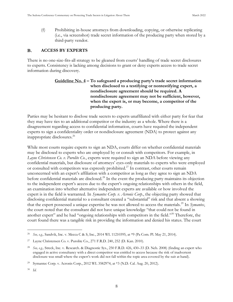(f) Prohibiting in-house attorneys from downloading, copying, or otherwise replicating (i.e., via screenshot) trade secret information of the producing party when stored by a third-party vendor.

#### <span id="page-16-0"></span>**B. ACCESS BY EXPERTS**

<span id="page-16-1"></span>There is no one-size-fits-all strategy to be gleaned from courts' handling of trade secret disclosures to experts. Consistency is lacking among decisions to grant or deny experts access to trade secret information during discovery.

## **Guideline No. 4 – To safeguard a producing party's trade secret information when disclosed to a testifying or nontestifying expert, a nondisclosure agreement should be required. A nondisclosure agreement may not be sufficient, however, when the expert is, or may become, a competitor of the producing party.**

Parties may be hesitant to disclose trade secrets to experts unaffiliated with either party for fear that they may have ties to an additional competitor or the industry as a whole. Where there is a disagreement regarding access to confidential information, courts have required the independent experts to sign a confidentiality order or nondisclosure agreement (NDA) to protect against any inappropriate disclosures.<sup>26</sup>

While most courts require experts to sign an NDA, courts differ on whether confidential materials may be disclosed to experts who are employed by or consult with competitors. For example, in *Layne Christensen Co. v. Purolite Co.*, experts were required to sign an NDA before viewing any confidential materials, but disclosure of attorneys' eyes-only materials to experts who were employed or consulted with competitors was expressly prohibited.<sup>27</sup> In contrast, other courts remain unconcerned with an expert's affiliation with a competitor as long as they agree to sign an NDA before confidential materials are disclosed.<sup>28</sup> In the event the producing party maintains its objection to the independent expert's access due to the expert's ongoing relationships with others in the field, an examination into whether alternative independent experts are available or how involved the expert is in the field is warranted. In *Symantec Corp. v. Acronis Corp.*, the objecting party showed that disclosing confidential material to a consultant created a "substantial" risk and that absent a showing that the expert possessed a unique expertise he was not allowed to access the materials.<sup>29</sup> In *Symantec*, the court noted that the consultant did not have unique knowledge "that could not be found in another expert" and he had "ongoing relationships with competitors in the field."<sup>30</sup> Therefore, the court found there was a tangible risk in providing the information and denied his status. The court

<sup>26</sup> *See, e.g.,* Sandvik, Inc. v. Mecca C & S, Inc., 2014 WL 11210395, at \*9 (Pa Com. Pl. May 21, 2014).

Layne Christensen Co. v. Purolite Co., 271 F.R.D. 240, 252 (D. Kan. 2010).

<sup>28</sup> *See, e.g.,* Streck, Inc. v. Research. & Diagnostic Sys., 250 F.R.D. 426, 430–33 (D. Neb. 2008) (finding an expert who engaged in active consultancy with a direct competitor was entitled to access because the risk of inadvertent disclosure was small where the expert's work did not fall within the topic area covered by the suit at hand).

<sup>29</sup> Symantec Corp. v. Acronis Corp., 2012 WL 3582974, at \*3 (N.D. Cal. Aug. 20, 2012).

<sup>30</sup> *Id.*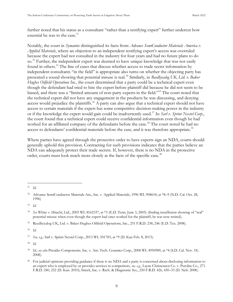further noted that his status as a consultant "rather than a testifying expert" further undercut how essential he was to the case. $31$ 

Notably, the court in *Symantec* distinguished its facts from *Advance SemiConductor Materials America v. Applied Materials*, where an objection to an independent testifying expert's access was overruled because the expert had not consulted in the industry for four years and had no future plans to do so.<sup>32</sup> Further, the independent expert was deemed to have unique knowledge that was not easily found in others.<sup>33</sup> The line of cases that discuss whether access to trade secret information by independent consultants "in the field" is appropriate also turns on whether the objecting party has presented a sound showing that potential misuse is real.<sup>34</sup> Similarly, in *Reedhycalog UK, Ltd. v. Baker Hughes Oilfield Operations Inc.*, the court determined that a party could be a technical expert even though the defendant had tried to hire the expert before plaintiff did because he did not seem to be biased, and there was a "limited amount of non-party experts in the field."<sup>35</sup> The court noted that the technical expert did not have any engagement in the products he was discussing, and denying access would prejudice the plaintiffs.<sup>36</sup> A party can also argue that a technical expert should not have access to certain materials if the expert has some competitive decision-making power in the industry or if the knowledge the expert would gain could be inadvertently used.<sup>37</sup> In *Sarl v. Sprint Nextel Corp.*, the court found that a technical expert could receive confidential information even though he had worked for an affiliated company of the defendants before the case.<sup>38</sup> The court noted he had no access to defendants' confidential materials before the case, and it was therefore appropriate.<sup>39</sup>

Where parties have agreed through the protective order to have experts sign an NDA, courts should generally uphold this provision. Contracting for such provisions indicates that the parties believe an NDA can adequately protect their trade secrets. If, however, there is no NDA in the protective order, courts must look much more closely at the facts of the specific case.<sup>40</sup>

<sup>36</sup> *Id.*

<sup>38</sup> *Id.*

<sup>31</sup> *Id.*

<sup>&</sup>lt;sup>32</sup> Advance SemiConductor Materials Am., Inc. v. Applied Materials, 1996 WL 908654, at \*8–9 (N.D. Cal. Oct. 28, 1996)

<sup>33</sup> *Id.*

<sup>34</sup> *See* White v. Hitachi, Ltd., 2005 WL 8162337, at \*3 (E.D. Tenn. June 3, 2005) (finding insufficient showing of "real" potential misuse when even though the expert had once worked for the plaintiff, he was now retired).

<sup>35</sup> Reedhycalog UK, Ltd. v. Baker Hughes Oilfield Operations, Inc., 251 F.R.D. 238, 246 (E.D. Tex. 2008).

<sup>37</sup> *See, e.g.,* Sarl v. Sprint Nextel Corp., 2013 WL 501783, at \*9 (D. Kan Feb. 8, 2013).

<sup>39</sup> *Id.*; *see also* Presidio Components*,* Inc. v. Am*.* Tech. Ceramics Corp., 2008 WL 4950989, at \*4 (S.D. Cal. Nov. 18, 2008).

<sup>&</sup>lt;sup>40</sup> For judicial opinions providing guidance if there is no NDA and a party is concerned about disclosing information to an expert who is employed by or provides services to competitors, *see, e.g.,* Layne Christensen Co. v. Purolite Co., 271 F.R.D. 240, 252 (D. Kan. 2010); Streck, Inc. v. Rsch. & Diagnostic Sys., 250 F.R.D. 426, 430–33 (D. Neb. 2008).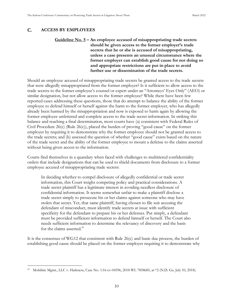#### <span id="page-18-1"></span><span id="page-18-0"></span> $C_{\cdot}$ **ACCESS BY EMPLOYEES**

## **Guideline No. 5 – An employee accused of misappropriating trade secrets should be given access to the former employer's trade secrets that he or she is accused of misappropriating, unless a case presents an unusual circumstance where the former employer can establish good cause for not doing so and appropriate restrictions are put in place to avoid further use or dissemination of the trade secrets.**

Should an employee accused of misappropriating trade secrets be granted access to the trade secrets that were allegedly misappropriated from the former employer? Is it sufficient to allow access to the trade secrets to the former employee's counsel or expert under an "Attorneys' Eyes Only" (AEO) or similar designation, but not allow access to the former employee? While there have been few reported cases addressing these questions, those that do attempt to balance the ability of the former employee to defend himself or herself against the harm to the former employer, who has allegedly already been harmed by the misappropriation and now is exposed to harm again by allowing the former employee unfettered and complete access to the trade secret information. In striking this balance and reaching a final determination, most courts have (a) consistent with Federal Rules of Civil Procedure 26(c) (Rule 26(c)), placed the burden of proving "good cause" on the former employer by requiring it to demonstrate why the former employee should not be granted access to the trade secrets; and (b) assessed the question of whether "good cause" exists based on the nature of the trade secret and the ability of the former employee to mount a defense to the claims asserted without being given access to the information.

Courts find themselves in a quandary when faced with challenges to multitiered confidentiality orders that include designations that can be used to shield documents from disclosure to a former employee accused of misappropriating trade secrets:

In deciding whether to compel disclosure of allegedly confidential or trade secret information, this Court weighs competing policy and practical considerations. A trade secret plaintiff has a legitimate interest in avoiding needless disclosure of confidential information. It seems somewhat unfair to make a plaintiff disclose a trade secret simply to prosecute his or her claims against someone who may have stolen that secret. Yet, that same plaintiff, having chosen to file suit accusing the defendant of misconduct, must identify trade secrets at issue with sufficient specificity for the defendant to prepare his or her defenses. Put simply, a defendant must be provided sufficient information to defend himself or herself. The Court also needs sufficient information to determine the relevancy of discovery and the basis for the claims asserted.<sup>41</sup>

It is the consensus of WG12 that consistent with Rule 26(c) and basic due process, the burden of establishing good cause should be placed on the former employer requiring it to demonstrate why

<sup>41</sup> Mobilitie Mgmt., LLC v. Harkness, Case No. 1:16-cv-04396, 2018 WL 7858685, at \*2 (N.D. Ga. July 10, 2018).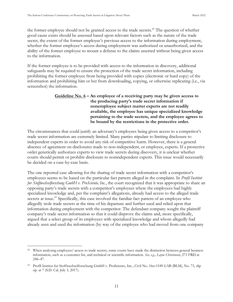the former employee should not be granted access to the trade secrets.<sup> $42$ </sup> The question of whether good cause exists should be assessed based upon relevant factors such as the nature of the trade secret, the extent of the former employee's previous access to the information during employment, whether the former employee's access during employment was authorized or unauthorized, and the ability of the former employee to mount a defense to the claims asserted without being given access to the information.

If the former employee is to be provided with access to the information in discovery, additional safeguards may be required to ensure the protection of the trade secret information, including prohibiting the former employee from being provided with copies (electronic or hard copy) of the information and prohibiting him or her from downloading, copying, or otherwise replicating (i.e., via screenshot) the information.

## <span id="page-19-0"></span>**Guideline No. 6 – An employee of a receiving party may be given access to the producing party's trade secret information if nonemployee subject matter experts are not readily available, the employee has unique specialized knowledge pertaining to the trade secrets, and the employee agrees to be bound by the restrictions in the protective order.**

The circumstances that could justify an adversary's employees being given access to a competitor's trade secret information are extremely limited. Many parties stipulate to limiting disclosure to independent experts in order to avoid any risk of competitive harm. However, there is a general absence of agreement on disclosures made to non-independent, or employee, experts. If a protective order generically authorizes experts to view trade secrets during discovery, it is unclear whether courts should permit or prohibit disclosure to nonindependent experts. This issue would necessarily be decided on a case-by-case basis.

The one reported case allowing for the sharing of trade secret information with a competitor's employees seems to be based on the particular fact pattern alleged in the complaint. In *Profil Institut fur Stoffwechselforschung GmbH v. ProSciento, Inc.*, the court recognized that it was appropriate to share an opposing party's trade secrets with a competitor's employees where the employees had highly specialized knowledge and, per the complaint's allegations, already had access to the alleged trade secrets at issue.<sup>43</sup> Specifically, this case involved the familiar fact pattern of an employee who allegedly stole trade secrets at the time of his departure and further used and relied upon that information during employment with the competitor. The defendant company sought the plaintiff company's trade secret information so that it could disprove the claims and, more specifically, argued that a select group of its employees with specialized knowledge and whom allegedly had already seen and used the information (by way of the employee who had moved from one company

<sup>&</sup>lt;sup>42</sup> When analyzing employees' access to trade secrets, some courts have made the distinction between general business information, such as a customer list, and technical or scientific information. *See, e.g., Layne Christensen*, 271 FRD at 246–47.

<sup>43</sup> Profil Institut fur Stoffwechselforschung GmbH v. ProSciento, Inc., Civil No. 16cv1549-LAB (BLM), No. 73, slip op. at 7 (S.D. Cal. July 3, 2017).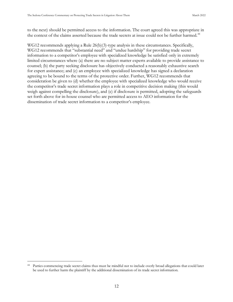to the next) should be permitted access to the information. The court agreed this was appropriate in the context of the claims asserted because the trade secrets at issue could not be further harmed.<sup>44</sup>

WG12 recommends applying a Rule 26(b)(3)-type analysis in these circumstances. Specifically, WG12 recommends that "substantial need" and "undue hardship" for providing trade secret information to a competitor's employee with specialized knowledge be satisfied only in extremely limited circumstances where (a) there are no subject matter experts available to provide assistance to counsel; (b) the party seeking disclosure has objectively conducted a reasonably exhaustive search for expert assistance; and (c) an employee with specialized knowledge has signed a declaration agreeing to be bound to the terms of the protective order. Further, WG12 recommends that consideration be given to (d) whether the employee with specialized knowledge who would receive the competitor's trade secret information plays a role in competitive decision making (this would weigh against compelling the disclosure), and (e) if disclosure is permitted, adopting the safeguards set forth above for in-house counsel who are permitted access to AEO information for the dissemination of trade secret information to a competitor's employee.

Parties commencing trade secret claims thus must be mindful not to include overly broad allegations that could later be used to further harm the plaintiff by the additional dissemination of its trade secret information.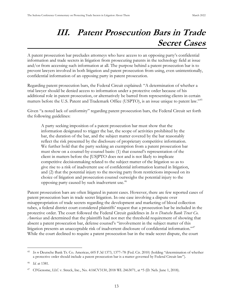## **III. Patent Prosecution Bars in Trade Secret Cases**

<span id="page-21-0"></span> patent prosecution bar precludes attorneys who have access to an opposing party's confidential information and trade secrets in litigation from prosecuting patents in the technology field at issue and/or from accessing such information at all. The purpose behind a patent prosecution bar is to prevent lawyers involved in both litigation and patent prosecution from using, even unintentionally, confidential information of an opposing party in patent prosecution.

Regarding patent prosecution bars, the Federal Circuit explained: "A determination of whether a trial lawyer should be denied access to information under a protective order because of his additional role in patent prosecution, or alternatively be barred from representing clients in certain matters before the U.S. Patent and Trademark Office (USPTO), is an issue unique to patent law."<sup>45</sup>

Given "a noted lack of uniformity" regarding patent prosecution bars, the Federal Circuit set forth the following guidelines:

A party seeking imposition of a patent prosecution bar must show that the information designated to trigger the bar, the scope of activities prohibited by the bar, the duration of the bar, and the subject matter covered by the bar reasonably reflect the risk presented by the disclosure of proprietary competitive information. We further hold that the party seeking an exemption from a patent prosecution bar must show on a counsel-by-counsel basis: (1) that counsel's representation of the client in matters before the [US]PTO does not and is not likely to implicate competitive decisionmaking related to the subject matter of the litigation so as to give rise to a risk of inadvertent use of confidential information learned in litigation, and (2) that the potential injury to the moving party from restrictions imposed on its choice of litigation and prosecution counsel outweighs the potential injury to the opposing party caused by such inadvertent use.<sup>46</sup>

Patent prosecution bars are often litigated in patent cases. However, there are few reported cases of patent prosecution bars in trade secret litigation. In one case involving a dispute over misappropriation of trade secrets regarding the development and marketing of blood collection tubes, a federal district court considered plaintiffs' request that a prosecution bar be included in the protective order. The court followed the Federal Circuit guidelines in *In re Deutsche Bank Trust Co. Americas* and determined that the plaintiffs had not met the threshold requirement of showing that absent a patent prosecution bar, defense counsel's "involvement in the subject matter of this litigation presents an unacceptable risk of inadvertent disclosure of confidential information."<sup>47</sup> While the court declined to require a patent prosecution bar in the trade secret dispute, the court

<sup>&</sup>lt;sup>45</sup> *In re* Deutsche Bank Tr. Co. Americas, 605 F.3d 1373, 1377–78 (Fed. Cir. 2010) (holding "determination of whether a protective order should include a patent prosecution bar is a matter governed by Federal Circuit law").

<sup>46</sup> *Id.* at 1381.

<sup>47</sup> CFGenome, LLC v. Streck, Inc., No. 4:16CV3130, 2018 WL 2463071, at \*5 (D. Neb. June 1, 2018).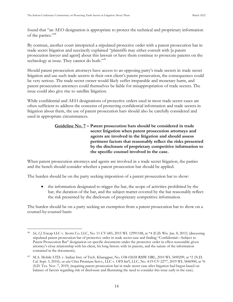found that "an AEO designation is appropriate to protect the technical and proprietary information of the parties."<sup>48</sup>

By contrast, another court interpreted a stipulated protective order with a patent prosecution bar in trade secret litigation and succinctly explained "plaintiffs may either consult with [a patent prosecution lawyer and agent] about this lawsuit or have them continue to prosecute patents on the technology at issue. They cannot do both."<sup>49</sup>

Should patent prosecution attorneys have access to an opposing party's trade secrets in trade secret litigation and use such trade secrets in their own client's patent prosecution, the consequences could be very serious. The trade secret owner would likely suffer irreparable and monetary harm, and patent prosecution attorneys could themselves be liable for misappropriation of trade secrets. The issue could also give rise to satellite litigation.

<span id="page-22-0"></span>While confidential and AEO designations of protective orders used in most trade secret cases are often sufficient to address the concerns of protecting confidential information and trade secrets in litigation about them, the use of patent prosecution bars should also be carefully considered and used in appropriate circumstances.

## **Guideline No. 7 – Patent prosecution bars should be considered in trade secret litigation when patent prosecution attorneys and agents are involved in the litigation and should assess pertinent factors that reasonably reflect the risks presented by the disclosure of proprietary competitive information to the specific counsel involved in the case.**

When patent prosecution attorneys and agents are involved in a trade secret litigation, the parties and the bench should consider whether a patent prosecution bar should be applied.

The burden should be on the party seeking imposition of a patent prosecution bar to show:

• the information designated to trigger the bar, the scope of activities prohibited by the bar, the duration of the bar, and the subject matter covered by the bar reasonably reflect the risk presented by the disclosure of proprietary competitive information.

The burden should be on a party seeking an exemption from a patent prosecution bar to show on a counsel-by-counsel basis:

<sup>48</sup> *Id.*; *Cf.* Encap LLC v. Scotts Co. LLC, No. 11-CV-685, 2015 WL 12991188, at \*4 (E.D. Wis. Jan. 8, 2015) (discussing stipulated patent prosecution bar of protective order in trade secret case and finding "Confidential—Subject to Patent Prosecution Bar" designation on specific documents under the protective order in effect reasonable given attorney's close relationship with his client, his long history with its patents, and the nature of the information contained in the documents).

M.A. Mobile LTD. v. Indian Inst. of Tech. Kharagpur, No. C08-02658 RMW HRL, 2010 WL 3490209, at \*2 (N.D. Cal. Sept. 3, 2010); *see also* Ultra Premium Servs., LLC v. OFS Int'l, LLC, No. 4:19-CV-2277, 2019 WL 5846900, at \*6 (S.D. Tex. Nov. 7, 2019) (requiring patent prosecution bar in trade secret case after litigation had begun based on balance of factors regarding risk of disclosure and illustrating the need to consider this issue early in the case).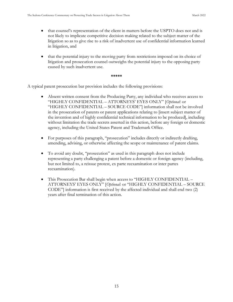- that counsel's representation of the client in matters before the USPTO does not and is not likely to implicate competitive decision making related to the subject matter of the litigation so as to give rise to a risk of inadvertent use of confidential information learned in litigation, and
- that the potential injury to the moving party from restrictions imposed on its choice of litigation and prosecution counsel outweighs the potential injury to the opposing party caused by such inadvertent use.

### **\*\*\*\*\***

A typical patent prosecution bar provision includes the following provisions:

- Absent written consent from the Producing Party, any individual who receives access to "HIGHLY CONFIDENTIAL – ATTORNEYS' EYES ONLY" [Optional: or "HIGHLY CONFIDENTIAL – SOURCE CODE"] information shall not be involved in the prosecution of patents or patent applications relating to [insert subject matter of the invention and of highly confidential technical information to be produced], including without limitation the trade secrets asserted in this action, before any foreign or domestic agency, including the United States Patent and Trademark Office.
- For purposes of this paragraph, "prosecution" includes directly or indirectly drafting, amending, advising, or otherwise affecting the scope or maintenance of patent claims.
- To avoid any doubt, "prosecution" as used in this paragraph does not include representing a party challenging a patent before a domestic or foreign agency (including, but not limited to, a reissue protest, ex parte reexamination or inter partes reexamination).
- This Prosecution Bar shall begin when access to "HIGHLY CONFIDENTIAL ATTORNEYS' EYES ONLY" [Optional: or "HIGHLY CONFIDENTIAL - SOURCE  $\text{CODE}^{\prime\prime}$  information is first received by the affected individual and shall end two  $(2)$ years after final termination of this action.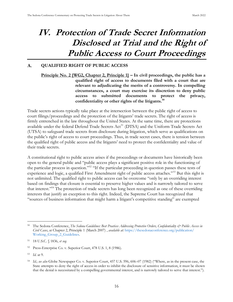## <span id="page-24-0"></span>**IV. Protection of Trade Secret Information Disclosed at Trial and the Right of Public Access to Court Proceedings**

#### <span id="page-24-2"></span><span id="page-24-1"></span> $\mathbf{A}$ . **QUALIFIED RIGHT OF PUBLIC ACCESS**

**Principle No. 2 [WG2, Chapter 2, Principle 1] – In civil proceedings, the public has a qualified right of access to documents filed with a court that are relevant to adjudicating the merits of a controversy. In compelling circumstances, a court may exercise its discretion to deny public access to submitted documents to protect the privacy, confidentiality or other rights of the litigants.<sup>50</sup>**

Trade secrets actions typically take place at the intersection between the public right of access to court filings/proceedings and the protection of the litigants' trade secrets. The right of access is firmly entrenched in the law throughout the United States. At the same time, there are protections available under the federal Defend Trade Secrets Act<sup>51</sup> (DTSA) and the Uniform Trade Secrets Act (UTSA) to safeguard trade secrets from disclosure during litigation, which serve as qualifications on the public's right of access to court proceedings. Thus, in trade secret cases, there is tension between the qualified right of public access and the litigants' need to protect the confidentiality and value of their trade secrets.

A constitutional right to public access arises if the proceedings or documents have historically been open to the general public and "public access plays a significant positive role in the functioning of the particular process in question."<sup>52</sup> "If the particular proceeding in question passes these tests of experience and logic, a qualified First Amendment right of public access attaches."<sup>53</sup> But this right is not unlimited. The qualified right to public access can be overcome "only by an overriding interest based on findings that closure is essential to preserve higher values and is narrowly tailored to serve that interest." <sup>54</sup> The protection of trade secrets has long been recognized as one of these overriding interests that justify an exception to this right. Indeed, the Supreme Court has recognized that "sources of business information that might harm a litigant's competitive standing" are exempted

The Sedona Conference, *The Sedona Guidelines: Best Practices Addressing Protective Orders, Confidentiality & Public Access in Civil Cases*, at Chapter 2, Principle 1 (March 2007) , *available at:* [https://thesedonaconference.org/publication/](https://thesedonaconference.org/publication/Working_Group_2_Guidelines) [Working\\_Group\\_2\\_Guidelines.](https://thesedonaconference.org/publication/Working_Group_2_Guidelines)

<sup>51</sup> 18 U.S.C. § 1836, *et seq.*

<sup>52</sup> Press-Enterprise Co. v. Superior Court, 478 U.S. 1, 8 (1986).

<sup>53</sup> *Id*. at 9.

<sup>54</sup> *Id.*; *see also* Globe Newspaper Co. v. Superior Court, 457 U.S. 596, 606–07 (1982) (" here, as in the present case, the State attempts to deny the right of access in order to inhibit the disclosure of sensitive information, it must be shown that the denial is necessitated by a compelling governmental interest, and is narrowly tailored to serve that interest.").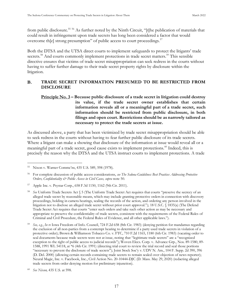from public disclosure.<sup>55 56</sup> As further noted by the Ninth Circuit, "[t]he publication of materials that could result in infringement upon trade secrets has long been considered a factor that would overcome the strong presumption" of public access to court proceedings.<sup>57</sup>

Both the DTSA and the UTSA direct courts to implement safeguards to protect the litigants' trade secrets.<sup>58</sup> And courts commonly implement protections in trade secret matters.<sup>59</sup> This sensible directive ensures that victims of trade secret misappropriation can seek redress in the courts without having to suffer further damage to their trade secret property rights by disclosure within the litigation.

#### <span id="page-25-0"></span>**B. TRADE SECRET INFORMATION PRESUMED TO BE RESTRICTED FROM DISCLOSURE**

## <span id="page-25-1"></span>**Principle No. 3 – Because public disclosure of a trade secret in litigation could destroy its value, if the trade secret owner establishes that certain information reveals all or a meaningful part of a trade secret, such information should be restricted from public disclosure, in both filings and open court. Restrictions should be as narrowly tailored as necessary to protect the trade secrets at issue.**

As discussed above, a party that has been victimized by trade secret misappropriation should be able to seek redress in the courts without having to fear further public disclosure of its trade secrets. Where a litigant can make a showing that disclosure of the information at issue would reveal all or a meaningful part of a trade secret, good cause exists to implement protections.<sup>60</sup> Indeed, this is precisely the reason why the DTSA and the UTSA instruct courts to implement protections. A trade

Nixon v. Warner Commc'ns, 435 U.S. 589, 598 (1978).

<sup>56</sup> For complete discussion of public access considerations, *see The Sedona Guidelines: Best Practices Addressing Protective Orders, Confidentiality & Public Access in Civil Cases, supra* note 50.

<sup>57</sup> Apple Inc. v. Psystar Corp., 658 F.3d 1150, 1162 (9th Cir. 2011).

<sup>&</sup>lt;sup>58</sup> See Uniform Trade Secrets Act § 5 (The Uniform Trade Secret Act requires that courts "preserve the secrecy of an alleged trade secret by reasonable means, which may include granting protective orders in connection with discovery proceedings, holding in camera hearings, sealing the records of the action, and ordering any person involved in the litigation not to disclose an alleged trade secret without prior court approval."); 18 U.S.C. § 1835(a) (The Defend Trade Secret Act requires that courts "enter such orders and take such other action as may be necessary and appropriate to preserve the confidentiality of trade secrets, consistent with the requirements of the Federal Rules of Criminal and Civil Procedure, the Federal Rules of Evidence, and all other applicable laws.").

<sup>59</sup> *See, e.g.*, *In re* Iowa Freedom of Info*.* Council, 724 F.2d 658 (8th Cir. 1983) (denying petition for mandamus regarding the exclusion of all non-parties from a contempt hearing to determine if a party used trade secrets in violation of a protective order); Brown & Williamson Tobacco Co. v. FTC, 710 F.2d 1165, 1180 (6th Cir. 1983) (vacating order to seal documents because trade secrets were not at issue, noting that "legitimate trade secrets" are a "recognized exception to the right of public access to judicial records"); Woven Elecs. Corp. v. Advance Grp., Nos. 89-1580, 89- 1588, 1991 WL 54118, at \*6 (4th Cir. 1991) (directing trial court to review the trial record and seal those portions "necessary to prevent the disclosure of trade secrets"); Joint Stock Soc'y v. UDV N. Am., 104 F. Supp. 2d 390, 396 (D. Del. 2000) (allowing certain records containing trade secrets to remain sealed over objection of news reporter); Neural Magic, Inc. v. Facebook, Inc., Civil Action No. 20-10444-DJC (D. Mass. May 29, 2020) (redacting alleged trade secrets from order denying motion for preliminary injunction).

<sup>60</sup> *See Nixon,* 435 U.S. at 598.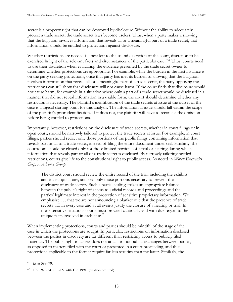secret is a property right that can be destroyed by disclosure. Without the ability to adequately protect a trade secret, the trade secret laws become useless. Thus, when a party makes a showing that the litigation involves information that reveals all or a meaningful part of a trade secret, that information should be entitled to protections against disclosure.

Whether restrictions are needed is "best left to the sound discretion of the court, discretion to be exercised in light of the relevant facts and circumstances of the particular case."<sup>61</sup> Thus, courts need to use their discretion when evaluating the evidence presented by the trade secret owner to determine whether protections are appropriate. For example, while the burden in the first instance is on the party seeking protections, once that party has met its burden of showing that the litigation involves information that reveals all or a meaningful part of a trade secret, the party opposing the restrictions can still show that disclosure will not cause harm. If the court finds that disclosure would not cause harm, for example in a situation where only a part of a trade secret would be disclosed in a manner that did not reveal information in a usable form, the court should determine whether any restriction is necessary. The plaintiff's identification of the trade secrets at issue at the outset of the case is a logical starting point for this analysis. The information at issue should fall within the scope of the plaintiff's prior identification. f it does not, the plaintiff will have to reconcile the omission before being entitled to protections.

Importantly, however, restrictions on the disclosure of trade secrets, whether in court filings or in open court, should be narrowly tailored to protect the trade secrets at issue. For example, in court filings, parties should redact only those portions of the public filings containing information that reveals part or all of a trade secret, instead of filing the entire document under seal. Similarly, the courtroom should be closed only for those limited portions of a trial or hearing during which information that reveals part or all of a trade secret is disclosed. By narrowly tailoring needed restrictions, courts give life to the constitutional right to public access. As noted in *Woven Electronics Corp. v. Advance Group*:

The district court should review the entire record of the trial, including the exhibits and transcripts if any, and seal only those portions necessary to prevent the disclosure of trade secrets. Such a partial sealing strikes an appropriate balance between the public's right of access to judicial records and proceedings and the parties' legitimate interest in the protection of sensitive proprietary information. We emphasize . . . that we are not announcing a blanket rule that the presence of trade secrets will in every case and at all events justify the closure of a hearing or trial. In these sensitive situations courts must proceed cautiously and with due regard to the unique facts involved in each case.<sup>62</sup>

When implementing protections, courts and parties should be mindful of the stage of the case in which the protections are sought. In particular, restrictions on information disclosed between the parties in discovery are far different than restricting access to publicly filed materials. The public right to access does not attach to nonpublic exchanges between parties, as opposed to matters filed with the court or presented in a court proceeding, and thus protections applicable to the former require far less scrutiny than the latter. Similarly, the

<sup>61</sup> *Id.* at 598–99.

<sup>62</sup> 1991 WL 54118, at \*6 (4th Cir. 1991) (citation omitted).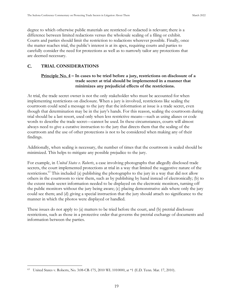degree to which otherwise public materials are restricted or redacted is relevant; there is a difference between limited redactions versus the wholesale sealing of a filing or exhibit. Courts and parties should limit the restriction to redactions wherever possible. Finally, once the matter reaches trial, the public's interest is at its apex, requiring courts and parties to carefully consider the need for protections as well as to narrowly tailor any protections that are deemed necessary.

#### <span id="page-27-1"></span><span id="page-27-0"></span> $C_{\cdot}$ **TRIAL CONSIDERATIONS**

## **Principle No. 4 – In cases to be tried before a jury, restrictions on disclosure of a trade secret at trial should be implemented in a manner that minimizes any prejudicial effects of the restrictions.**

At trial, the trade secret owner is not the only stakeholder who must be accounted for when implementing restrictions on disclosure. When a jury is involved, restrictions like sealing the courtroom could send a message to the jury that the information at issue is a trade secret, even though that determination may be in the jury's hands. For this reason, sealing the courtroom during trial should be a last resort, used only when less restrictive means—such as using aliases or code words to describe the trade secret—cannot be used. In these circumstances, courts will almost always need to give a curative instruction to the jury that directs them that the sealing of the courtroom and the use of other protections is not to be considered when making any of their findings.

Additionally, when sealing is necessary, the number of times that the courtroom is sealed should be minimized. This helps to mitigate any possible prejudice to the jury.

For example, in *United States v. Roberts*, a case involving photographs that allegedly disclosed trade secrets, the court implemented protections at trial in a way that limited the suggestive nature of the restrictions.<sup>63</sup> This included (a) publishing the photographs to the jury in a way that did not allow others in the courtroom to view them, such as by publishing by hand instead of electronically; (b) to the extent trade secret information needed to be displayed on the electronic monitors, turning off the public monitors without the jury being aware; (c) placing demonstrative aids where only the jury could see them; and (d) giving a special instruction that the jury should attach no significance to the manner in which the photos were displayed or handled.

These issues do not apply to (a) matters to be tried before the court, and (b) pretrial disclosure restrictions, such as those in a protective order that governs the pretrial exchange of documents and information between the parties.

<sup>63</sup> United States v. Roberts, No. 3:08-CR-175, 2010 WL 1010000, at \*1 (E.D. Tenn. Mar. 17, 2010).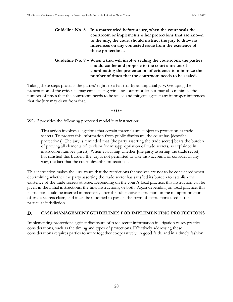<span id="page-28-1"></span>**Guideline No. 8 – In a matter tried before a jury, when the court seals the courtroom or implements other protections that are known to the jury, the court should instruct the jury to draw no inferences on any contested issue from the existence of those protections.**

## **Guideline No. 9 – When a trial will involve sealing the courtroom, the parties should confer and propose to the court a means of coordinating the presentation of evidence to minimize the number of times that the courtroom needs to be sealed.**

<span id="page-28-2"></span>Taking these steps protects the parties' rights to a fair trial by an impartial jury. Grouping the presentation of the evidence may entail calling witnesses out of order but may also minimize the number of times that the courtroom needs to be sealed and mitigate against any improper inferences that the jury may draw from that.

**\*\*\*\*\***

WG12 provides the following proposed model jury instruction:

This action involves allegations that certain materials are subject to protection as trade secrets. To protect this information from public disclosure, the court has [describe protections]. The jury is reminded that [the party asserting the trade secret] bears the burden of proving all elements of its claim for misappropriation of trade secrets, as explained in instruction number [insert]. When evaluating whether [the party asserting the trade secret] has satisfied this burden, the jury is not permitted to take into account, or consider in any way, the fact that the court [describe protections].

This instruction makes the jury aware that the restrictions themselves are not to be considered when determining whether the party asserting the trade secret has satisfied its burden to establish the existence of the trade secrets at issue. Depending on the court's local practice, this instruction can be given in the initial instructions, the final instructions, or both. Again depending on local practice, this instruction could be inserted immediately after the substantive instruction on the misappropriationof-trade-secrets claim, and it can be modified to parallel the form of instructions used in the particular jurisdiction.

#### <span id="page-28-0"></span>D. **CASE MANAGEMENT GUIDELINES FOR IMPLEMENTING PROTECTIONS**

Implementing protections against disclosure of trade secret information in litigation raises practical considerations, such as the timing and types of protections. Effectively addressing these considerations requires parties to work together cooperatively, in good faith, and in a timely fashion.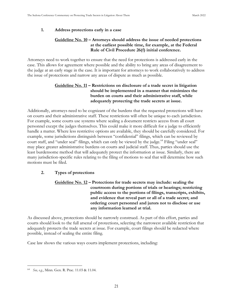## <span id="page-29-2"></span><span id="page-29-0"></span>**1. Address protections early in a case**

## **Guideline No. 10 – Attorneys should address the issue of needed protections at the earliest possible time, for example, at the Federal Rule of Civil Procedure 26(f) initial conference.**

Attorneys need to work together to ensure that the need for protections is addressed early in the case. This allows for agreement where possible and the ability to bring any areas of disagreement to the judge at an early stage in the case. It is important for attorneys to work collaboratively to address the issue of protections and narrow any areas of dispute as much as possible.

## **Guideline No. 11 – Restrictions on disclosure of a trade secret in litigation should be implemented in a manner that minimizes the burden on courts and their administrative staff, while adequately protecting the trade secrets at issue.**

<span id="page-29-3"></span>Additionally, attorneys need to be cognizant of the burdens that the requested protections will have on courts and their administrative staff. These restrictions will often be unique to each jurisdiction. For example, some courts use systems where sealing a document restricts access from all court personnel except the judges themselves. This could make it more difficult for a judge to efficiently handle a matter. Where less restrictive options are available, they should be carefully considered. For example, some jurisdictions distinguish between "confidential" filings, which can be reviewed by court staff, and "under seal" filings, which can only be viewed by the judge.<sup>64</sup> Filing "under seal" may place greater administrative burdens on courts and judicial staff. Thus, parties should use the least burdensome method that will adequately protect the information at issue. Similarly, there are many jurisdiction-specific rules relating to the filing of motions to seal that will determine how such motions must be filed.

## <span id="page-29-4"></span><span id="page-29-1"></span>**2. Types of protections**

## **Guideline No. 12 – Protections for trade secrets may include: sealing the courtroom during portions of trials or hearings; restricting public access to the portions of filings, transcripts, exhibits, and evidence that reveal part or all of a trade secret; and ordering court personnel and jurors not to disclose or use any information learned at trial.**

As discussed above, protections should be narrowly construed. As part of this effort, parties and courts should look to the full arsenal of protections, selecting the narrowest available restriction that adequately protects the trade secrets at issue. For example, court filings should be redacted where possible, instead of sealing the entire filing.

Case law shows the various ways courts implement protections, including:

<sup>64</sup> *See, e.g.*, Minn. Gen. R. Prac. 11.03 & 11.04.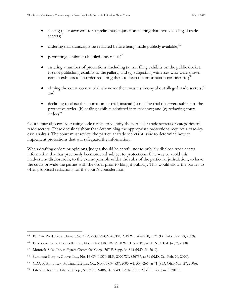- sealing the courtroom for a preliminary injunction hearing that involved alleged trade secrets; 65
- ordering that transcripts be redacted before being made publicly available;<sup>66</sup>
- permitting exhibits to be filed under seal;<sup>67</sup>
- entering a number of protections, including (a) not filing exhibits on the public docket; (b) not publishing exhibits to the gallery; and (c) subjecting witnesses who were shown certain exhibits to an order requiring them to keep the information confidential;<sup>68</sup>
- closing the courtroom at trial whenever there was testimony about alleged trade secrets;<sup>69</sup> and
- declining to close the courtroom at trial, instead (a) making trial observers subject to the protective order; (b) sealing exhibits admitted into evidence; and (c) redacting court orders<sup>70</sup>

Courts may also consider using code names to identify the particular trade secrets or categories of trade secrets. These decisions show that determining the appropriate protections requires a case-bycase analysis. The court must review the particular trade secrets at issue to determine how to implement protections that will safeguard the information.

When drafting orders or opinions, judges should be careful not to publicly disclose trade secret information that has previously been ordered subject to protections. One way to avoid this inadvertent disclosure is, to the extent possible under the rules of the particular jurisdiction, to have the court provide the parties with the order prior to filing it publicly. This would allow the parties to offer proposed redactions for the court's consideration.

<sup>65</sup> BP Am. Prod. Co. v. Hamer, No. 19-CV-03581-CMA-STV, 2019 WL 7049990, at \*1 (D. Colo. Dec. 23, 2019).

<sup>66</sup> Facebook, Inc. v. ConnectU, Inc., No. C 07-01389 JW, 2008 WL 11357787, at \*1 (N.D. Cal. July 2, 2008).

<sup>67</sup> Motorola Sols., Inc. v. Hytera Commc'ns Corp., 367 F. Supp. 3d 813 (N.D. Ill. 2019).

<sup>68</sup> Sumotext Corp. v. Zoove, Inc., No. 16-CV-01370-BLF, 2020 WL 836737, at \*1 (N.D. Cal. Feb. 20, 2020).

<sup>69</sup> CDA of Am. Inc. v. Midland Life Ins. Co., No. 01-CV-837, 2006 WL 5349266, at \*1 (S.D. Ohio Mar. 27, 2006).

<sup>70</sup> LifeNet Health v. LifeCell Corp., No. 2:13CV486, 2015 WL 12516758, at \*1 (E.D. Va. Jan. 9, 2015).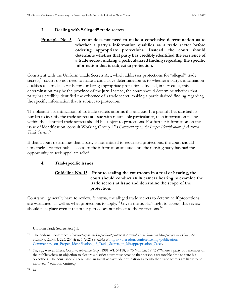## <span id="page-31-0"></span>**3. Dealing with "alleged" trade secrets**

## <span id="page-31-2"></span>**Principle No. 5 – A court does not need to make a conclusive determination as to whether a party's information qualifies as a trade secret before ordering appropriate protections. Instead, the court should determine whether that party has credibly identified the existence of a trade secret, making a particularized finding regarding the specific information that is subject to protection.**

Consistent with the Uniform Trade Secrets Act, which addresses protections for "alleged" trade secrets,<sup>71</sup> courts do not need to make a conclusive determination as to whether a party's information qualifies as a trade secret before ordering appropriate protections. Indeed, in jury cases, this determination may be the province of the jury. Instead, the court should determine whether that party has credibly identified the existence of a trade secret, making a particularized finding regarding the specific information that is subject to protection.

The plaintiff's identification of its trade secrets informs this analysis. If a plaintiff has satisfied its burden to identify the trade secrets at issue with reasonable particularity, then information falling within the identified trade secrets should be subject to protections. For further information on the issue of identification, consult Working Group 12's *Commentary on the Proper Identification of Asserted Trade Secrets*. 72

If that a court determines that a party is not entitled to requested protections, the court should nonetheless restrict public access to the information at issue until the moving party has had the opportunity to seek appellate relief.

## <span id="page-31-3"></span><span id="page-31-1"></span>**4. Trial-specific issues**

## **Guideline No. 13 – Prior to sealing the courtroom in a trial or hearing, the court should conduct an in camera hearing to examine the trade secrets at issue and determine the scope of the protection.**

Courts will generally have to review, *in camera*, the alleged trade secrets to determine if protections are warranted, as well as what protections to apply.<sup>73</sup> Given the public's right to access, this review should take place even if the other party does not object to the restrictions.<sup>74</sup>

<sup>71</sup> Uniform Trade Secrets Act § 5.

<sup>72</sup> The Sedona Conference, *Commentary on the Proper Identification of Asserted Trade Secrets in Misappropriation Cases*, 22 SEDONA CONF. J. 223, 234 & n. 5 (2021) *available at* [https://thesedonaconference.org/publication/](https://thesedonaconference.org/publication/Commentary_on_Proper_Identification_of_Trade_Secrets_in_Misappropriation_Cases) [Commentary\\_on\\_Proper\\_Identification\\_of\\_Trade\\_Secrets\\_in\\_Misappropriation\\_Cases.](https://thesedonaconference.org/publication/Commentary_on_Proper_Identification_of_Trade_Secrets_in_Misappropriation_Cases)

<sup>73</sup> *See*, *e.g.*, Woven Elecs. Corp. v. Advance Grp., 1991 WL 54118, at \*6 (4th Cir. 1991) (" here a party or a member of the public voices an objection to closure a district court must provide that person a reasonable time to state his objections. The court should then make an initial *in camera* determination as to whether trade secrets are likely to be involved.") (citation omitted).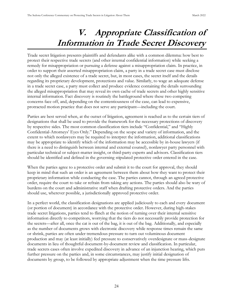## **V. Appropriate Classification of Information in Trade Secret Discovery**

<span id="page-32-0"></span>Trade secret litigation presents plaintiffs and defendants alike with a common dilemma: how best to protect their respective trade secrets (and other internal confidential information) while seeking a remedy for misappropriation or pursuing a defense against a misappropriation claim. In practice, in order to support their asserted misappropriation claim, a party in a trade secret case must disclose not only the alleged existence of a trade secret, but, in most cases, the secret itself and the details regarding its proprietary development, protections and value. Similarly, to wage an adequate defense in a trade secret case, a party must collect and produce evidence containing the details surrounding the alleged misappropriation that may reveal its own cache of trade secrets and other highly sensitive internal information. Fact discovery is routinely the battleground where these two competing concerns face off, and, depending on the contentiousness of the case, can lead to expensive, protracted motion practice that does not serve any participant—including the court.

Parties are best served when, at the outset of litigation, agreement is reached as to the certain tiers of designations that shall be used to provide the framework for the necessary protections of discovery by respective sides. The most common classification tiers include " Confidential," and " Highly Confidential-Attorneys' Eyes Only." Depending on the scope and variety of information, and the extent to which nonlawyers may be required to interpret the information, additional classifications may be appropriate to identify which of the information may be accessible by in-house lawyers (if there is a need to distinguish between internal and external counsel), nonlawyer party personnel with particular technical or subject-matter insight, or third-party experts and advisors. Classification tiers should be identified and defined in the governing stipulated protective order entered in the case.

When the parties agree to a protective order and submit it to the court for approval, they should keep in mind that such an order is an agreement between them about how they want to protect their proprietary information while conducting the case. The parties cannot, through an agreed protective order, require the court to take or refrain from taking any actions. The parties should also be wary of burdens on the court and administrative staff when drafting protective orders. And the parties should use, wherever possible, a jurisdictionally approved protective order.

In a perfect world, the classification designations are applied judiciously to each and every document (or portion of document) in accordance with the protective order. However, during high-stakes trade secret litigations, parties tend to flinch at the notion of turning over their internal sensitive information directly to competitors, worrying that the tiers do not necessarily provide protection for the secrets—after all, once the cat is out of the bag, it is out of the bag. Additionally, and especially as the number of documents grows with electronic discovery while response times remain the same or shrink, parties are often under tremendous pressure to turn out voluminous document production and may (at least initially) feel pressure to conservatively overdesignate or mass-designate documents in lieu of thoughtful document-by-document review and classification. In particular, trade secrets cases often involve expedited discovery in advance of an injunction hearing, which puts further pressure on the parties and, in some circumstances, may justify initial designation of documents by group, to be followed by appropriate adjustment when the time pressure lifts.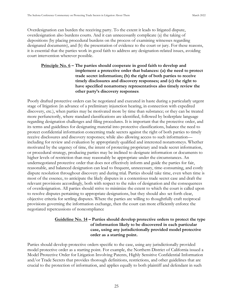Overdesignation can burden the receiving party. To the extent it leads to litigated dispute, overdesignation also burdens courts. And it can unnecessarily complicate (a) the taking of depositions (by placing procedural burdens on the process of examining witnesses regarding designated documents), and (b) the presentation of evidence to the court or jury. For these reasons, it is essential that the parties work in good faith to address any designation-related issues, avoiding court intervention wherever possible.

## <span id="page-33-0"></span>**Principle No. 6 – The parties should cooperate in good faith to develop and implement a protective order that balances: (a) the need to protect trade secret information; (b) the right of both parties to receive timely disclosures and discovery responses; and (c) the right to have specified nonattorney representatives also timely review the other party's discovery responses**.

Poorly drafted protective orders can be negotiated and executed in haste during a particularly urgent stage of litigation (in advance of a preliminary injunction hearing, in connection with expedited discovery, etc.), when parties may be motivated more by time than substance; or they can be treated more perfunctorily, where standard classifications are identified, followed by boilerplate language regarding designation challenges and filing procedures. It is important that the protective order, and its terms and guidelines for designating material into protective classifications, balance the need to protect confidential information concerning trade secrets against the right of both parties to timely receive disclosures and discovery responses; while also allowing access to such information including for review and evaluation by appropriately qualified and interested nonattorneys. Whether motivated by the urgency of time, the intent of protecting proprietary and trade secret information, or procedural strategy, producing parties may be inclined to designate information or documents to higher levels of restriction than may reasonably be appropriate under the circumstances. An undernegotiated protective order that does not effectively inform and guide the parties for fair, reasonable, and balanced designation can lead to frequent, unnecessary, time-consuming, and costly dispute resolution throughout discovery and during trial. Parties should take time, even when time is most of the essence, to anticipate the likely disputes in a contentious trade secret case and draft the relevant provisions accordingly, both with respect to the rules of designation and the consequences of overdesignation. All parties should strive to minimize the extent to which the court is called upon to resolve disputes pertaining to appropriate designations, but they should also set forth clear, objective criteria for settling disputes. Where the parties are willing to thoughtfully craft reciprocal provisions governing the information exchange, then the court can more efficiently enforce the negotiated repercussions of noncompliance

## **Guideline No. 14 – Parties should develop protective orders to protect the type of information likely to be discovered in each particular case, using any jurisdictionally provided model protective order as a starting point.**

<span id="page-33-1"></span>Parties should develop protective orders specific to the case, using any jurisdictionally provided model protective order as a starting point. For example, the Northern District of California issued a Model Protective Order for Litigation Involving Patents, Highly Sensitive Confidential Information and/or Trade Secrets that provides thorough definitions, restrictions, and other guidelines that are crucial to the protection of information, and applies equally to both plaintiff and defendant in such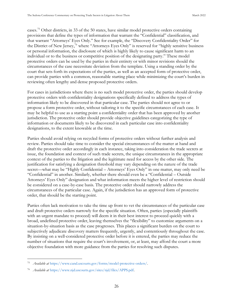cases.<sup>75</sup> Other districts, in 33 of the 50 states, have similar model protective orders containing provisions that define the types of information that warrant the "Confidential" classification, and that warrant "Attorneys' Eyes Only." See for example, the "Discovery Confidentiality Order" for the District of New Jersey,<sup>76</sup> where "Attorneys Eyes Only" is reserved for "highly sensitive business or personal information, the disclosure of which is highly likely to cause significant harm to an individual or to the business or competitive position of the designating party." These model protective orders can be used by the parties in their entirety or with minor revisions should the circumstances of the case necessitate deviation from the template. Using a standing order by the court that sets forth its expectations of the parties, as well as an accepted form of protective order, can provide parties with a common, reasonable starting place while minimizing the court's burden in reviewing often lengthy and dense proposed protective orders.

For cases in jurisdictions where there is no such model protective order, the parties should develop protective orders with confidentiality designations specifically defined to address the types of information likely to be discovered in that particular case. The parties should not agree to or propose a form protective order, without tailoring it to the specific circumstances of each case. It may be helpful to use as a starting point a confidentiality order that has been approved by another jurisdiction. The protective order should provide objective guidelines categorizing the type of information or documents likely to be discovered in each particular case into confidentiality designations, to the extent knowable at the time.

Parties should avoid relying on recycled forms of protective orders without further analysis and review. Parties should take time to consider the special circumstances of the matter at hand and draft the protective order accordingly in each instance, taking into consideration the trade secrets at issue, the foundation and context of such trade secrets, the unique circumstances in the appropriate context of the parties to the litigation and the legitimate need for access by the other side. The justification for satisfying a designation threshold may vary depending on the nature of the trade secret—what may be "Highly Confidential – Attorneys' Eyes Only" in one matter, may only need be "Confidential" in another. Similarly, whether there should even be a "Confidential – Outside Attorneys' Eyes Only" designation and what information meets the higher level of restriction should be considered on a case-by-case basis. The protective order should narrowly address the circumstances of the particular case. Again, if the jurisdiction has an approved form of protective order, that should be the starting point.

Parties often lack motivation to take the time up front to vet the circumstances of the particular case and draft protective orders narrowly for the specific situation. Often, parties (especially plaintiffs with an urgent mandate to proceed) will deem it in their best interest to proceed quickly with a broad, undefined protective order, leaving themselves the "flexibility" to customize arguments on a situation-by-situation basis as the case progresses. This places a significant burden on the court to subjectively adjudicate discovery matters frequently, urgently, and contentiously throughout the case. By insisting on a well-considered protective order before it is entered, the parties may reduce the number of situations that require the court's involvement, or, at least, may afford the court a more objective foundation with more guidance from the parties for resolving such disputes.

<sup>75</sup> *Available at* [https://www.cand.uscourts.gov/forms/model-protective-orders/.](https://www.cand.uscourts.gov/forms/model-protective-orders/) 

<sup>76</sup> *Available at* [https://www.njd.uscourts.gov/sites/njd/files/APPS.pdf.](https://www.njd.uscourts.gov/sites/njd/files/APPS.pdf)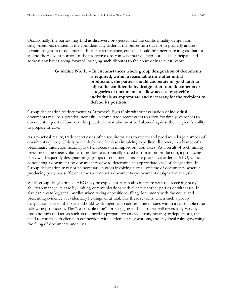Occasionally, the parties may find as discovery progresses that the confidentiality designation categorizations defined in the confidentiality order at the outset turn out not to properly address certain categories of documents. In that circumstance, counsel should first negotiate in good faith to amend the relevant portion of the protective order in way that will help both sides anticipate and address any issues going forward, bringing such disputes to the court only as a last resort.

## <span id="page-35-0"></span>**Guideline No. 15 – In circumstances where group designation of documents is required, within a reasonable time after initial production, the parties should cooperate in good faith to adjust the confidentiality designation from documents or categories of documents to allow access by specific individuals as appropriate and necessary for the recipient to defend its position.**

Group designation of documents as Attorney's Eyes Only without evaluation of individual documents may be a practical necessity in some trade secret cases to allow for timely responses to document requests. However, this practical constraint must be balanced against the recipient's ability to prepare its case.

As a practical reality, trade secret cases often require parties to review and produce a large number of documents quickly. This is particularly true for cases involving expedited discovery in advance of a preliminary injunction hearing, as often occurs in misappropriation cases. As a result of such timing pressure or the sheer volume of modern electronically stored information production, a producing party will frequently designate large groups of documents under a protective order as AEO, without conducting a document-by-document review to determine an appropriate level of designation. In Group designation may not be necessary in cases involving a small volume of documents, where a producing party has sufficient time to conduct a document-by-document designation analysis.

While group designation as AEO may be expedient, it can also interfere with the receiving party's ability to manage its case by limiting communications with clients or other parties or witnesses. It also can create logistical hurdles when taking depositions, filing documents with the court, and presenting evidence at evidentiary hearings or at trial. For these reasons, when such a group designation is used, the parties should work together to address these issues within a reasonable time following production. The "reasonable time" for engaging in this process will necessarily vary by case and turn on factors such as the need to prepare for an evidentiary hearing or depositions, the need to confer with clients in connection with settlement negotiations, and any local rules governing the filing of documents under seal.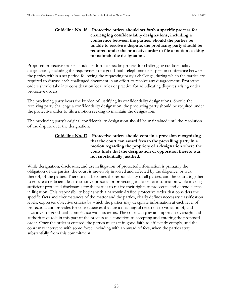### <span id="page-36-0"></span>**Guideline No. 16 – Protective orders should set forth a specific process for challenging confidentiality designations, including a conference between the parties. Should the parties be unable to resolve a dispute, the producing party should be required under the protective order to file a motion seeking to maintain the designation.**

Proposed protective orders should set forth a specific process for challenging confidentiality designations, including the requirement of a good-faith telephonic or in-person conference between the parties within a set period following the requesting party's challenge, during which the parties are required to discuss each challenged document in an effort to resolve any disagreement. Protective orders should take into consideration local rules or practice for adjudicating disputes arising under protective orders.

The producing party bears the burden of justifying its confidentiality designations. Should the receiving party challenge a confidentiality designation, the producing party should be required under the protective order to file a motion seeking to maintain the designation.

<span id="page-36-1"></span>The producing party's original confidentiality designation should be maintained until the resolution of the dispute over the designation.

## **Guideline No. 17 – Protective orders should contain a provision recognizing that the court can award fees to the prevailing party in a motion regarding the propriety of a designation where the court finds that the designation or opposition thereto was not substantially justified.**

While designation, disclosure, and use in litigation of protected information is primarily the obligation of the parties, the court is inevitably involved and affected by the diligence, or lack thereof, of the parties. Therefore, it becomes the responsibility of all parties, and the court, together, to ensure an efficient, least-disruptive process for protecting trade secret information while making sufficient protected disclosures for the parties to realize their rights to prosecute and defend claims in litigation. This responsibility begins with a narrowly drafted protective order that considers the specific facts and circumstances of the matter and the parties, clearly defines necessary classification levels, expresses objective criteria by which the parties may designate information at each level of protection, and provides for consequences that are a meaningful deterrent to violation of, and incentive for good-faith compliance with, its terms. The court can play an important oversight and authoritative role in this part of the process as a condition to accepting and entering the proposed order. Once the order is entered, the parties must act in good faith to efficiently comply, and the court may intervene with some force, including with an award of fees, when the parties stray substantially from this commitment.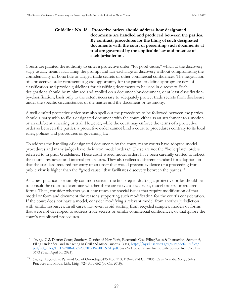### **Guideline No. 18 – Protective orders should address how designated documents are handled and produced between the parties. By contrast, procedures for the filing of such designated documents with the court or presenting such documents at trial are governed by the applicable law and practice of each jurisdiction.**

Courts are granted the authority to enter a protective order "for good cause," which at the discovery stage usually means facilitating the prompt and fair exchange of discovery without compromising the confidentiality of bona fide or alleged trade secrets or other commercial confidences. The negotiation of a protective order represents a good opportunity for the parties to define appropriate tiers of classification and provide guidelines for classifying documents to be used in discovery. Such designations should be minimized and applied on a document-by-document, or at least classificationby-classification, basis only to the extent necessary to adequately protect trade secrets from disclosure under the specific circumstances of the matter and the document or testimony.

A well-drafted protective order may also spell out the procedures to be followed between the parties should a party wish to file a designated document with the court, either as an attachment to a motion or an exhibit at a hearing or trial. However, while the court may enforce the terms of a protective order as between the parties, a protective order cannot bind a court to procedures contrary to its local rules, policies and procedures or governing law.

To address the handling of designated documents by the court, many courts have adopted model procedures and many judges have their own model orders.<sup>77</sup> These are not the "boilerplate" orders referred to in prior Guidelines. These court-issued model orders have been carefully crafted to reflect the courts' resources and internal procedures. They also reflect a different standard for adoption, in that the standard required for entry of an order that would prevent evidence or a proceeding from public view is higher than the "good cause" that facilitates discovery between the parties.<sup>78</sup>

As a best practice – or simply common sense – the first step in drafting a protective order should be to consult the court to determine whether there are relevant local rules, model orders, or required forms. Then, consider whether your case raises any special issues that require modification of that model or form and document the reasons supporting such modification for the court's consideration. If the court does not have a model, consider modifying a relevant model from another jurisdiction with similar resources. In all cases, however, avoid starting from recycled samples, models or forms that were not developed to address trade secrets or similar commercial confidences, or that ignore the court's established procedures.

<sup>77</sup> *See, e.g.,* U.S. District Court, Southern District of New York, Electronic Case Filing Rules & Instruction, Section 6, Filing Under Seal and Redacting in Civil and Miscellaneous Cases, [https://nysd.uscourts.gov/sites/default/files/](https://nysd.uscourts.gov/sites/default/files/pdf/ecf_rules/ECF%20Rules%20020121%20FINAL.pdf) [pdf/ecf\\_rules/ECF%20Rules%20020121%20FINAL.pdf.](https://nysd.uscourts.gov/sites/default/files/pdf/ecf_rules/ECF%20Rules%20020121%20FINAL.pdf) *See also* HouseCanary Inc. v. Title Source Inc., No. 19- 0673 (Tex., April 30, 2021).

<sup>78</sup> *See, e.g.,* Lugosch v. Pyramid Co. of Onondaga, 435 F.3d 110, 119–20 (2d Cir. 2006); *In re* Avandia Mktg., Sales Practices and Prods. Liab. Litig., 924 F.3d 662 (3d Cir. 2019).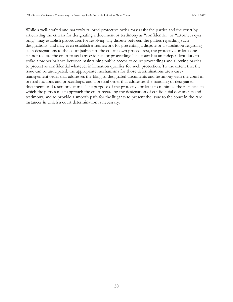While a well-crafted and narrowly tailored protective order may assist the parties and the court by articulating the criteria for designating a document or testimony as "confidential" or "attorneys eyes only," may establish procedures for resolving any dispute between the parties regarding such designations, and may even establish a framework for presenting a dispute or a stipulation regarding such designations to the court (subject to the court's own procedures), the protective order alone cannot require the court to seal any evidence or proceeding. The court has an independent duty to strike a proper balance between maintaining public access to court proceedings and allowing parties to protect as confidential whatever information qualifies for such protection. To the extent that the issue can be anticipated, the appropriate mechanisms for those determinations are a casemanagement order that addresses the filing of designated documents and testimony with the court in pretrial motions and proceedings, and a pretrial order that addresses the handling of designated documents and testimony at trial. The purpose of the protective order is to minimize the instances in which the parties must approach the court regarding the designation of confidential documents and testimony, and to provide a smooth path for the litigants to present the issue to the court in the rare instances in which a court determination is necessary.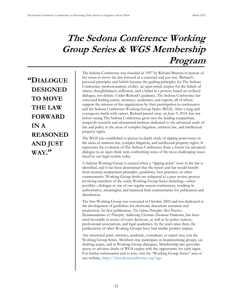## **The Sedona Conference Working Group Series & WGS Membership Program**

**"DIALOGUE DESIGNED TO MOVE THE LAW FORWARD IN A REASONED AND JUST WAY."**

The Sedona Conference was founded in 1997 by Richard Braman in pursuit of his vision to move the law forward in a reasoned and just way. Richard's personal principles and beliefs became the guiding principles for The Sedona Conference: professionalism, civility, an open mind, respect for the beliefs of others, thoughtfulness, reflection, and a belief in a process based on civilized dialogue, not debate. Under Richard's guidance, The Sedona Conference has convened leading jurists, attorneys, academics, and experts, all of whom support the mission of the organization by their participation in conferences and the Sedona Conference Working Group Series (WGS). After a long and courageous battle with cancer, Richard passed away on June 9, 2014, but not before seeing The Sedona Conference grow into the leading nonpartisan, nonprofit research and educational institute dedicated to the advanced study of law and policy in the areas of complex litigation, antitrust law, and intellectual property rights.

The WGS was established to pursue in-depth study of tipping point issues in the areas of antitrust law, complex litigation, and intellectual property rights. It represents the evolution of The Sedona Conference from a forum for advanced dialogue to an open think tank confronting some of the most challenging issues faced by our legal system today.

A Sedona Working Group is created when a "tipping point" issue in the law is identified, and it has been determined that the bench and bar would benefit from neutral, nonpartisan principles, guidelines, best practices, or other commentaries. Working Group drafts are subjected to a peer review process involving members of the entire Working Group Series including—when possible—dialogue at one of our regular season conferences, resulting in authoritative, meaningful, and balanced final commentaries for publication and distribution.

The first Working Group was convened in October 2002 and was dedicated to the development of guidelines for electronic document retention and production. Its first publication, *The Sedona Principles: Best Practices Recommendations & Principles Addressing Electronic Document Production*, has been cited favorably in scores of court decisions, as well as by policy makers, professional associations, and legal academics. In the years since then, the publications of other Working Groups have had similar positive impact.

Any interested jurist, attorney, academic, consultant, or expert may join the Working Group Series. Members may participate in brainstorming groups, on drafting teams, and in Working Group dialogues. Membership also provides access to advance drafts of WGS output with the opportunity for early input. For further information and to join, visit the "Working Group Series" area of our website,<https://thesedonaconference.org/wgs>.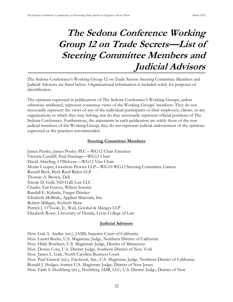## **The Sedona Conference Working Group 12 on Trade Secrets—List of Steering Committee Members and Judicial Advisors**

The Sedona Conference's Working Group 12 on Trade Secrets Steering Committee Members and Judicial Advisors are listed below. Organizational information is included solely for purposes of identification.

The opinions expressed in publications of The Sedona Conference's Working Groups, unless otherwise attributed, represent consensus views of the Working Groups' members. They do not necessarily represent the views of any of the individual participants or their employers, clients, or any organizations to which they may belong, nor do they necessarily represent official positions of The Sedona Conference. Furthermore, the statements in each publication are solely those of the nonjudicial members of the Working Group; they do not represent judicial endorsement of the opinions expressed or the practices recommended.

## **Steering Committee Members**

James Pooley, James Pooley PLC—WG12 Chair Emeritus Victoria Cundiff, Paul Hastings—WG12 Chair David Almeling, O'Melveny—WG12 Vice-Chair Monte Cooper, Goodwin Procter LLP—WG10-WG12 Steering Committee Liaison Russell Beck, Beck Reed Riden LLP Thomas A. Brown, Dell Nicole D. Galli, ND Galli Law LLC Charles Tait Graves, Wilson Sonsini Randall E. Kahnke, Faegre Drinker Elizabeth McBride, Applied Materials, Inc. Robert Milligan, Seyfarth Shaw Patrick J. O'Toole, Jr., Weil, Gotshal & Manges LLP Elizabeth Rowe, University of Florida, Levin College of Law

## **Judicial Advisors**

Hon. Gail A. Andler (ret.), JAMS; Superior Court of California Hon. Laurel Beeler, U.S. Magistrate Judge, Northern District of California Hon. Hildy Bowbeer, U.S. Magistrate Judge, District of Minnesota Hon. Denise Cote, U.S. District Judge, Southern District of New York Hon. James L. Gale, North Carolina Business Court Hon. Paul Grewal (ret.), Facebook, Inc.; U.S. Magistrate Judge, Northern District of California Ronald J. Hedges, former U.S. Magistrate Judge, District of New Jersey Hon. Faith S. Hochberg (ret.), Hochberg ADR, LLC; U.S. District Judge, District of New